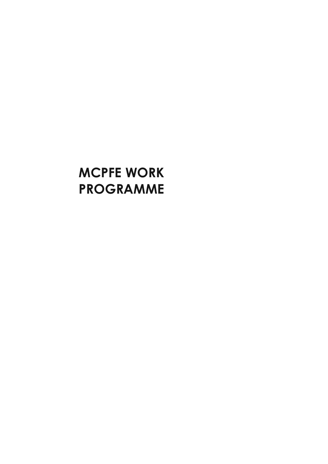# **MCPFE WORK PROGRAMME**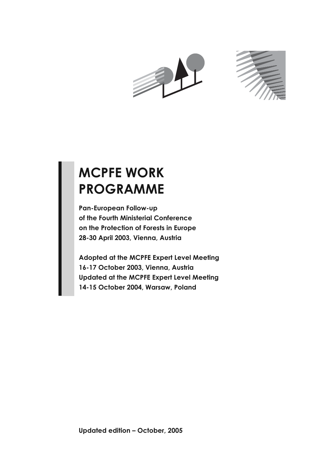



# **MCPFE WORK PROGRAMME**

**Pan-European Follow-up of the Fourth Ministerial Conference on the Protection of Forests in Europe 28-30 April 2003, Vienna, Austria**

**Adopted at the MCPFE Expert Level Meeting 16-17 October 2003, Vienna, Austria Updated at the MCPFE Expert Level Meeting 14-15 October 2004, Warsaw, Poland**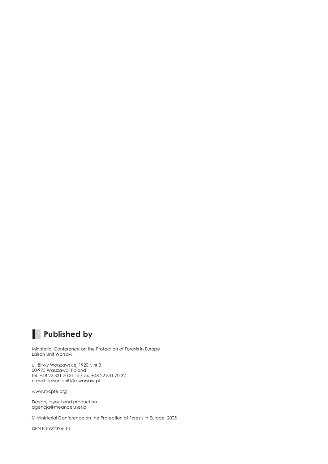

Ministerial Conference on the Protection of Forests in Europe Laison Unit Warsaw

ul. Bitwy Warszawskiej 1920 r. nr 3 00-973 Warszawa, Poland tel. +48 22 331 70 31 tel/fax. +48 22 331 70 32 e-mail: liaison.unit@lu-warsaw.pl

www.mcpfe.org

I

Design, layout and production agencja@meander.net.pl

© Ministerial Conference on the Protection of Forests in Europe, 2005

ISBN 83-922396-0-1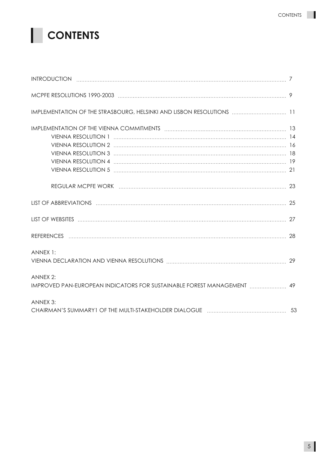# **CONTENTS**

| IMPLEMENTATION OF THE STRASBOURG, HELSINKI AND LISBON RESOLUTIONS  11                                          |    |
|----------------------------------------------------------------------------------------------------------------|----|
|                                                                                                                |    |
| REGULAR MCPFE WORK (attractional contract and an extenditional contract and all the contract of the contract o |    |
|                                                                                                                |    |
|                                                                                                                |    |
|                                                                                                                |    |
| ANNEX 1:                                                                                                       | 29 |
| ANNEX 2:                                                                                                       |    |
| ANNEX 3:                                                                                                       |    |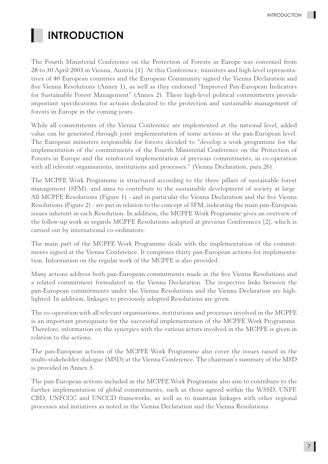## **INTRODUCTION**

The Fourth Ministerial Conference on the Protection of Forests in Europe was convened from 28 to 30 April 2003 in Vienna, Austria [1]. At this Conference, ministers and high-level representatives of 40 European countries and the European Community signed the Vienna Declaration and five Vienna Resolutions (Annex 1), as well as they endorsed "Improved Pan-European Indicators for Sustainable Forest Management" (Annex 2). These high-level political commitments provide important specifications for actions dedicated to the protection and sustainable management of forests in Europe in the coming years.

While all commitments of the Vienna Conference are implemented at the national level, added value can be generated through joint implementation of some actions at the pan-European level. The European ministers responsible for forests decided to "develop a work programme for the implementation of the commitments of the Fourth Ministerial Conference on the Protection of Forests in Europe and the reinforced implementation of previous commitments, in co-operation with all relevant organisations, institutions and processes." (Vienna Declaration, para 26).

The MCPFE Work Programme is structured according to the three pillars of sustainable forest management (SFM), and aims to contribute to the sustainable development of society at large. All MCPFE Resolutions (Figure 1) - and in particular the Vienna Declaration and the five Vienna Resolutions (Figure 2) - are put in relation to the concept of SFM, indicating the main pan-European issues inherent in each Resolution. In addition, the MCPFE Work Programme gives an overview of the follow-up work as regards MCPFE Resolutions adopted at previous Conferences [2], which is carried out by international co-ordinators.

The main part of the MCPFE Work Programme deals with the implementation of the commitments signed at the Vienna Conference. It comprises thirty pan-European actions for implementation. Information on the regular work of the MCPFE is also provided.

Many actions address both pan-European commitments made in the five Vienna Resolutions and a related commitment formulated in the Vienna Declaration. The respective links between the pan-European commitments under the Vienna Resolutions and the Vienna Declaration are highlighted. In addition, linkages to previously adopted Resolutions are given.

The co-operation with all relevant organisations, institutions and processes involved in the MCPFE is an important prerequisite for the successful implementation of the MCPFE Work Programme. Therefore, information on the synergies with the various actors involved in the MCPFE is given in relation to the actions.

The pan-European actions of the MCPFE Work Programme also cover the issues raised in the multi-stakeholder dialogue (MSD) at the Vienna Conference. The chairman's summary of the MSD is provided in Annex 3.

The pan-European actions included in the MCPFE Work Programme also aim to contribute to the further implementation of global commitments, such as those agreed within the WSSD, UNFF, CBD, UNFCCC and UNCCD frameworks; as well as to maintain linkages with other regional processes and initiatives as noted in the Vienna Declaration and the Vienna Resolutions.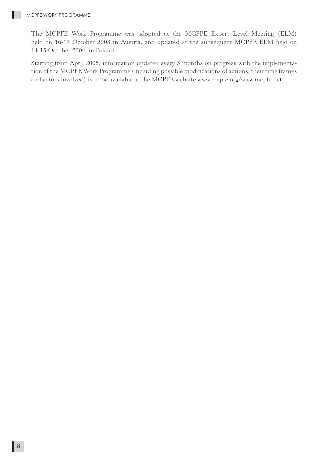The MCPFE Work Programme was adopted at the MCPFE Expert Level Meeting (ELM) held on 16-17 October 2003 in Austria, and updated at the subsequent MCPFE ELM held on 14-15 October 2004, in Poland.

Starting from April 2005, information updated every 3 months on progress with the implementation of the MCPFE Work Programme (including possible modifications of actions, their time frames and actors involved) is to be available at the MCPFE website www.mcpfe.org/www.mcpfe.net.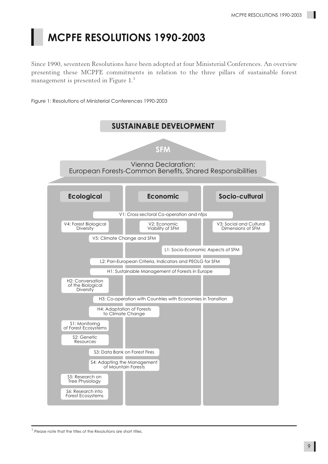# **MCPFE RESOLUTIONS 1990-2003**

Since 1990, seventeen Resolutions have been adopted at four Ministerial Conferences. An overview presenting these MCPFE commitments in relation to the three pillars of sustainable forest management is presented in Figure 1.<sup>1</sup>

Figure 1: Resolutions of Ministerial Conferences 1990-2003



<sup>&</sup>lt;sup>1</sup> Please note that the titles of the Resolutions are short titles.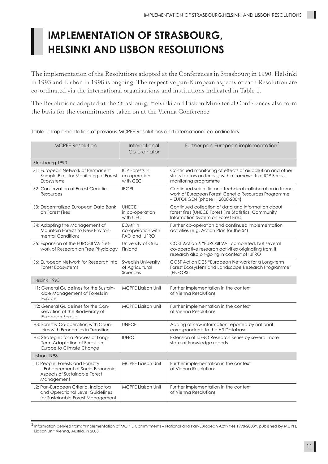# **IMPLEMENTATION OF STRASBOURG, HELSINKI AND LISBON RESOLUTIONS**

The implementation of the Resolutions adopted at the Conferences in Strasbourg in 1990, Helsinki in 1993 and Lisbon in 1998 is ongoing. The respective pan-European aspects of each Resolution are co-ordinated via the international organisations and institutions indicated in Table 1.

The Resolutions adopted at the Strasbourg, Helsinki and Lisbon Ministerial Conferences also form the basis for the commitments taken on at the Vienna Conference.

|  | Table 1: Implementation of previous MCPFE Resolutions and international co-ordinators |  |  |  |  |
|--|---------------------------------------------------------------------------------------|--|--|--|--|
|--|---------------------------------------------------------------------------------------|--|--|--|--|

| <b>MCPFE Resolution</b>                                                                                            | International<br>Co-ordinator                        | Further pan-European implementation <sup>2</sup>                                                                                                        |
|--------------------------------------------------------------------------------------------------------------------|------------------------------------------------------|---------------------------------------------------------------------------------------------------------------------------------------------------------|
| Strasbourg 1990                                                                                                    |                                                      |                                                                                                                                                         |
| S1: European Network of Permanent<br>Sample Plots for Monitoring of Forest<br>Ecosystems                           | <b>ICP</b> Forests in<br>co-operation<br>with CEC    | Continued monitoring of effects of air pollution and other<br>stress factors on forests, within framework of ICP Forests<br>monitoring programme        |
| \$2: Conservation of Forest Genetic<br>Resources                                                                   | <b>IPGRI</b>                                         | Continued scientific and technical collaboration in frame-<br>work of European Forest Genetic Resources Programme<br>- EUFORGEN (phase II: 2000-2004)   |
| S3: Decentralized European Data Bank<br>on Forest Fires                                                            | <b>UNECE</b><br>in co-operation<br>with CEC          | Continued collection of data and information about<br>forest fires (UNECE Forest Fire Statistics; Community<br>Information System on Forest Fires)      |
| S4: Adapting the Management of<br>Mountain Forests to New Environ-<br>mental Conditions                            | <b>EOMF</b> in<br>co-operation with<br>FAO and IUFRO | Further co-operation and continued implementation<br>activities (e.g. Action Plan for the S4)                                                           |
| S5: Expansion of the EUROSILVA Net-<br>work of Research on Tree Physiology                                         | University of Oulu,<br>Finland                       | COST Action 6 "EUROSILVA" completed, but several<br>co-operative research activities originating from it;<br>research also on-going in context of IUFRO |
| S6: European Network for Research into<br>Forest Ecosystems                                                        | Swedish University<br>of Agricultural<br>Sciences    | COST Action E 25 "European Network for a Long-term<br>Forest Ecosystem and Landscape Research Programme"<br>(ENFORS)                                    |
| Helsinki 1993                                                                                                      |                                                      |                                                                                                                                                         |
| H1: General Guidelines for the Sustain-<br>able Management of Forests in<br>Europe                                 | <b>MCPFE Ligison Unit</b>                            | Further implementation in the context<br>of Vienna Resolutions                                                                                          |
| H <sub>2</sub> : General Guidelines for the Con-<br>servation of the Biodiversity of<br>European Forests           | <b>MCPFE Ligison Unit</b>                            | Further implementation in the context<br>of Vienna Resolutions                                                                                          |
| H3: Forestry Co-operation with Coun-<br>tries with Economies in Transition                                         | <b>UNECE</b>                                         | Adding of new information reported by national<br>correspondents to the H3 Database                                                                     |
| H4: Strategies for a Process of Long-<br>Term Adaptation of Forests in<br>Europe to Climate Change                 | <b>IUFRO</b>                                         | Extension of IUFRO Research Series by several more<br>state-of-knowledge reports                                                                        |
| Lisbon 1998                                                                                                        |                                                      |                                                                                                                                                         |
| L1: People, Forests and Forestry<br>- Enhancement of Socio-Economic<br>Aspects of Sustainable Forest<br>Management | <b>MCPFE Ligison Unit</b>                            | Further implementation in the context<br>of Vienna Resolutions                                                                                          |
| L2: Pan-European Criteria, Indicators<br>and Operational Level Guidelines<br>for Sustainable Forest Management     | <b>MCPFE Liaison Unit</b>                            | Further implementation in the context<br>of Vienna Resolutions                                                                                          |

<sup>2</sup> Information derived from: "Implementation of MCPFE Commitments – National and Pan-European Activities 1998-2003", published by MCPFE Liaison Unit Vienna, Austria, in 2003.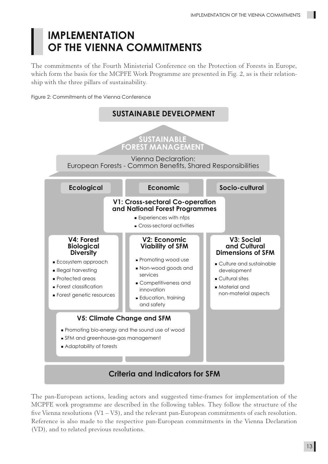## **IMPLEMENTATION OF THE VIENNA COMMITMENTS**

The commitments of the Fourth Ministerial Conference on the Protection of Forests in Europe, which form the basis for the MCPFE Work Programme are presented in Fig. 2, as is their relationship with the three pillars of sustainability.

Figure 2: Commitments of the Vienna Conference



The pan-European actions, leading actors and suggested time-frames for implementation of the MCPFE work programme are described in the following tables. They follow the structure of the five Vienna resolutions  $(V1 - V5)$ , and the relevant pan-European commitments of each resolution. Reference is also made to the respective pan-European commitments in the Vienna Declaration (VD), and to related previous resolutions.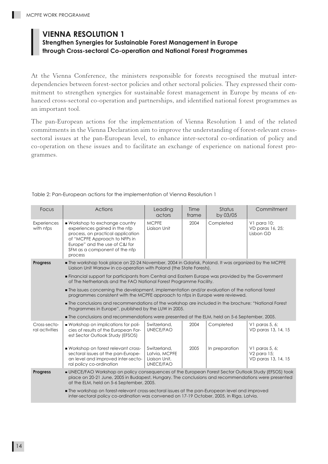### **VIENNA RESOLUTION 1**

#### **Strengthen Synergies for Sustainable Forest Management in Europe through Cross-sectoral Co-operation and National Forest Programmes**

At the Vienna Conference, the ministers responsible for forests recognised the mutual interdependencies between forest-sector policies and other sectoral policies. They expressed their commitment to strengthen synergies for sustainable forest management in Europe by means of enhanced cross-sectoral co-operation and partnerships, and identified national forest programmes as an important tool.

The pan-European actions for the implementation of Vienna Resolution 1 and of the related commitments in the Vienna Declaration aim to improve the understanding of forest-relevant crosssectoral issues at the pan-European level, to enhance inter-sectoral co-ordination of policy and co-operation on these issues and to facilitate an exchange of experience on national forest programmes.

| Focus                          | <b>Actions</b>                                                                                                                                                                                                                                       | Leading<br>actors                                           | Time<br>frame | Status<br>by 03/05 | Commitment                                              |
|--------------------------------|------------------------------------------------------------------------------------------------------------------------------------------------------------------------------------------------------------------------------------------------------|-------------------------------------------------------------|---------------|--------------------|---------------------------------------------------------|
| Experiences<br>with nfps       | Workshop to exchange country<br>experiences gained in the nfp<br>process, on practical application<br>of "MCPFE Approach to NFPs in<br>Europe" and the use of C&I for<br>SFM as a component of the nfp<br>process                                    | <b>MCPFE</b><br>Liaison Unit                                | 2004          | Completed          | V1 para 10;<br>VD paras 16, 25;<br>Lisbon GD            |
| <b>Progress</b>                | The workshop took place on 22-24 November, 2004 in Gdańsk, Poland. It was organized by the MCPFE<br>Liaison Unit Warsaw in co-operation with Poland (the State Forests).                                                                             |                                                             |               |                    |                                                         |
|                                | <b>Financial support for participants from Central and Eastern Europe was provided by the Government</b><br>of The Netherlands and the FAO National Forest Programme Facility.                                                                       |                                                             |               |                    |                                                         |
|                                | The issues concerning the development, implementation and/or evaluation of the national forest<br>programmes consistent with the MCPFE approach to nfps in Europe were reviewed.                                                                     |                                                             |               |                    |                                                         |
|                                | The conclusions and recommendations of the workshop are included in the brochure: "National Forest<br>Programmes in Europe", published by the LUW in 2005.                                                                                           |                                                             |               |                    |                                                         |
|                                | The conclusions and recommendations were presented at the ELM, held on 5-6 September, 2005.                                                                                                                                                          |                                                             |               |                    |                                                         |
| Cross-secto-<br>ral activities | ■ Workshop on implications for poli-<br>cies of results of the European For-<br>est Sector Outlook Study (EFSOS)                                                                                                                                     | Switzerland,<br>UNECE/FAO                                   | 2004          | Completed          | V1 paras $5, 6$ ;<br>VD paras 13, 14, 15                |
|                                | Workshop on forest relevant cross-<br>sectoral issues at the pan-Europe-<br>an level and improved inter-secto-<br>ral policy co-ordination                                                                                                           | Switzerland,<br>Latvia, MCPFE<br>Liaison Unit,<br>UNECE/FAO | 2005          | In preparation     | V1 paras $5, 6$ ;<br>V2 para 15;<br>VD paras 13, 14, 15 |
| <b>Progress</b>                | UNECE/FAO Workshop on policy consequences of the European Forest Sector Outlook Study (EFSOS) took<br>place on 20-21 June, 2005 in Budapest, Hungary. The conclusions and recommendations were presented<br>at the ELM, held on 5-6 September, 2005. |                                                             |               |                    |                                                         |
|                                | The workshop on forest-relevant cross-sectoral issues at the pan-European level and improved<br>inter-sectoral policy co-ordination was convened on 17-19 October, 2005, in Riga, Latvia.                                                            |                                                             |               |                    |                                                         |

Table 2: Pan-European actions for the implementation of Vienna Resolution 1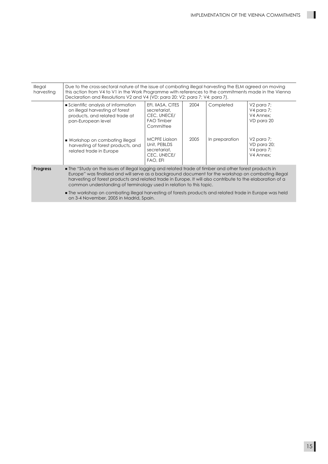$\blacksquare$ 

| Illegal<br>harvesting | Due to the cross-sectoral nature of the issue of combating illegal harvesting the ELM agreed on moving<br>this action from V4 to V1 in the Work Programme with references to the commitments made in the Vienna<br>Declaration and Resolutions V2 and V4 (VD: para 20; V2: para 7; V4: para 7).                                                                                                                                                                                                                                                        |                                                                                    |      |                |                                                        |
|-----------------------|--------------------------------------------------------------------------------------------------------------------------------------------------------------------------------------------------------------------------------------------------------------------------------------------------------------------------------------------------------------------------------------------------------------------------------------------------------------------------------------------------------------------------------------------------------|------------------------------------------------------------------------------------|------|----------------|--------------------------------------------------------|
|                       | Scientific analysis of information<br>on illegal harvesting of forest<br>products, and related trade at<br>pan-European level                                                                                                                                                                                                                                                                                                                                                                                                                          | EFI, IIASA, CITES<br>secretariat,<br>CEC, UNECE/<br><b>FAO Timber</b><br>Committee | 2004 | Completed      | $V2$ para 7;<br>V4 para 7;<br>V4 Annex:<br>VD para 20  |
|                       | ■ Workshop on combating illegal<br>harvesting of forest products, and<br>related trade in Europe                                                                                                                                                                                                                                                                                                                                                                                                                                                       | <b>MCPFE Ligison</b><br>Unit, PEBLDS<br>secretariat,<br>CEC, UNECE/<br>FAO, EFI    | 2005 | In preparation | $V2$ para 7;<br>VD para 20;<br>V4 para 7;<br>V4 Annex: |
| <b>Progress</b>       | • The "Study on the issues of illegal logging and related trade of timber and other forest products in<br>Europe" was finalised and will serve as a background document for the workshop on combating illegal<br>harvesting of forest products and related trade in Europe. It will also contribute to the elaboration of a<br>common understanding of terminology used in relation to this topic.<br>The workshop on combating illegal harvesting of forests products and related trade in Europe was held<br>on 3-4 November, 2005 in Madrid, Spain. |                                                                                    |      |                |                                                        |
|                       |                                                                                                                                                                                                                                                                                                                                                                                                                                                                                                                                                        |                                                                                    |      |                |                                                        |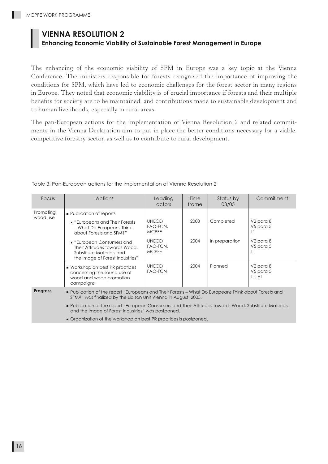## **VIENNA RESOLUTION 2**

## **Enhancing Economic Viability of Sustainable Forest Management in Europe**

The enhancing of the economic viability of SFM in Europe was a key topic at the Vienna Conference. The ministers responsible for forests recognised the importance of improving the conditions for SFM, which have led to economic challenges for the forest sector in many regions in Europe. They noted that economic viability is of crucial importance if forests and their multiple benefits for society are to be maintained, and contributions made to sustainable development and to human livelihoods, especially in rural areas.

The pan-European actions for the implementation of Vienna Resolution 2 and related commitments in the Vienna Declaration aim to put in place the better conditions necessary for a viable, competitive forestry sector, as well as to contribute to rural development.

| Focus                                                                                                                                                                                      | Actions                                                                                                                                                                                                                                                | Leading<br>actors                                                        | Time<br>frame | Status by<br>03/05          | Commitment                                                                     |  |
|--------------------------------------------------------------------------------------------------------------------------------------------------------------------------------------------|--------------------------------------------------------------------------------------------------------------------------------------------------------------------------------------------------------------------------------------------------------|--------------------------------------------------------------------------|---------------|-----------------------------|--------------------------------------------------------------------------------|--|
| Promoting<br>wood use                                                                                                                                                                      | <b>Publication of reports:</b><br>• "Europeans and Their Forests"<br>- What Do Europeans Think<br>about Forests and SFM?"<br>• "European Consumers and<br>Their Attitudes towards Wood,<br>Substitute Materials and<br>the Image of Forest Industries" | UNECE/<br>FAO-FCN,<br><b>MCPFE</b><br>UNECE/<br>FAO-FCN,<br><b>MCPFE</b> | 2003<br>2004  | Completed<br>In preparation | V2 para 8;<br>$V5$ para 5;<br>L1<br>V <sub>2</sub> para 8;<br>V5 para 5;<br>L1 |  |
|                                                                                                                                                                                            | ■ Workshop on best PR practices<br>concerning the sound use of<br>wood and wood promotion<br>campaigns                                                                                                                                                 | UNECE/<br><b>FAO-FCN</b>                                                 | 2004          | Planned                     | V <sub>2</sub> para 8;<br>$V5$ para 5;<br>$LI$ ; H1                            |  |
| <b>Progress</b><br>■ Publication of the report "Europeans and Their Forests – What Do Europeans Think about Forests and<br>SFM?" was finalized by the Liaison Unit Vienna in August, 2003. |                                                                                                                                                                                                                                                        |                                                                          |               |                             |                                                                                |  |
|                                                                                                                                                                                            | Publication of the report "European Consumers and Their Attitudes towards Wood, Substitute Materials<br>and the Image of Forest Industries" was postponed.                                                                                             |                                                                          |               |                             |                                                                                |  |

Table 3: Pan-European actions for the implementation of Vienna Resolution 2

Organization of the workshop on best PR practices is postponed.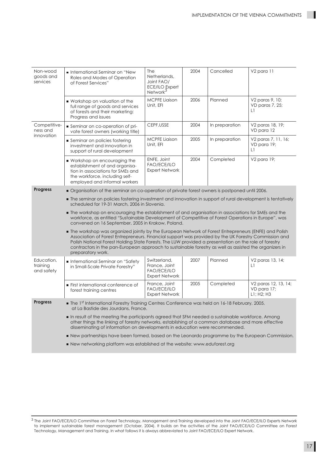| Non-wood<br>goods and<br>services      | International Seminar on "New<br>Roles and Modes of Operation<br>of Forest Services"                                                                                                                                                                                                                                                                                                                                                                  | The<br>Netherlands,<br>Joint FAO/<br>ECE/ILO Expert<br>Network <sup>3</sup>  | 2004 | Cancelled      | V <sub>2</sub> para 11                            |  |  |
|----------------------------------------|-------------------------------------------------------------------------------------------------------------------------------------------------------------------------------------------------------------------------------------------------------------------------------------------------------------------------------------------------------------------------------------------------------------------------------------------------------|------------------------------------------------------------------------------|------|----------------|---------------------------------------------------|--|--|
|                                        | ■ Workshop on valuation of the<br>full range of goods and services<br>of forests and their marketing:<br>Progress and issues                                                                                                                                                                                                                                                                                                                          | <b>MCPFE Ligison</b><br>Unit, EFI                                            | 2006 | Planned        | V2 paras 9, 10;<br>VD paras 7, 25;<br>L1          |  |  |
| Competitive-<br>ness and<br>innovation | Seminar on co-operation of pri-<br>vate forest owners (working title)                                                                                                                                                                                                                                                                                                                                                                                 | CEPF, USSE                                                                   | 2004 | In preparation | V2 paras 18, 19;<br>VD para 12                    |  |  |
|                                        | Seminar on policies fostering<br>investment and innovation in<br>support of rural development                                                                                                                                                                                                                                                                                                                                                         | <b>MCPFE Liaison</b><br>Unit, EFI                                            | 2005 | In preparation | V2 paras 7, 11, 16;<br>VD para 19;<br>L1          |  |  |
|                                        | ■ Workshop on encouraging the<br>establishment of and organisa-<br>tion in associations for SMEs and<br>the workforce, including self-<br>employed and informal workers                                                                                                                                                                                                                                                                               | ENFE, Joint<br><b>FAO/ECE/ILO</b><br><b>Expert Network</b>                   | 2004 | Completed      | V2 para 19;                                       |  |  |
| <b>Progress</b>                        | ■ Organisation of the seminar on co-operation of private forest owners is postponed until 2006.                                                                                                                                                                                                                                                                                                                                                       |                                                                              |      |                |                                                   |  |  |
|                                        | The seminar on policies fostering investment and innovation in support of rural development is tentatively<br>scheduled for 19-31 March, 2006 in Slovenia.                                                                                                                                                                                                                                                                                            |                                                                              |      |                |                                                   |  |  |
|                                        | The workshop on encouraging the establishment of and organisation in associations for SMEs and the<br>workforce, as entitled "Sustainable Development of Competitive of Forest Operations in Europe", was<br>convened on 16 September, 2005 in Krakow, Poland.                                                                                                                                                                                        |                                                                              |      |                |                                                   |  |  |
|                                        | The workshop was organized jointly by the European Network of Forest Entrepreneurs (ENFE) and Polish<br>Association of Forest Entrepreneurs. Financial support was provided by the UK Forestry Commission and<br>Polish National Forest Holding State Forests. The LUW provided a presentation on the role of forestry<br>contractors in the pan-European approach to sustainable forestry as well as assisted the organizers in<br>preparatory work. |                                                                              |      |                |                                                   |  |  |
| Education,<br>training<br>and safety   | ■ International Seminar on "Safety<br>in Small-Scale Private Forestry"                                                                                                                                                                                                                                                                                                                                                                                | Switzerland,<br>France, Joint<br><b>FAO/ECE/ILO</b><br><b>Expert Network</b> | 2007 | Planned        | V2 paras 13, 14;<br>L1                            |  |  |
|                                        | <b>First international conference of</b><br>forest training centres                                                                                                                                                                                                                                                                                                                                                                                   | France, Joint<br><b>FAO/ECE/ILO</b><br><b>Expert Network</b>                 | 2005 | Completed      | V2 paras 12, 13, 14;<br>VD para 17;<br>L1; H2; H3 |  |  |
| <b>Progress</b>                        | The 1st International Forestry Training Centres Conference was held on 16-18 February, 2005,<br>at La Bastide des Jourdans, France.                                                                                                                                                                                                                                                                                                                   |                                                                              |      |                |                                                   |  |  |
|                                        | In result of the meeting the participants agreed that SFM needed a sustainable workforce. Among<br>other things the linking of forestry networks, establishing of a common database and more effective<br>disseminating of information on developments in education were recommended.                                                                                                                                                                 |                                                                              |      |                |                                                   |  |  |
|                                        | ■ New partnerships have been formed, based on the Leonardo programme by the European Commission.                                                                                                                                                                                                                                                                                                                                                      |                                                                              |      |                |                                                   |  |  |
|                                        | New networking platform was established at the website: www.eduforest.org                                                                                                                                                                                                                                                                                                                                                                             |                                                                              |      |                |                                                   |  |  |

 $^3$  The Joint FAO/ECE/ILO Committee on Forest Technology, Management and Training developed into the Joint FAO/ECE/ILO Experts Network to implement sustainable forest management (October, 2004). It builds on the activities of the Joint FAO/ECE/ILO Committee on Forest Technology, Management and Training. In what follows it is always abbreviated to Joint FAO/ECE/ILO Expert Network.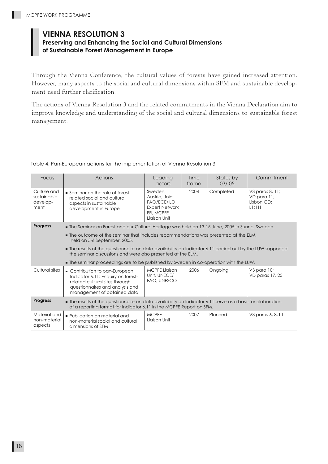## **VIENNA RESOLUTION 3**

### **Preserving and Enhancing the Social and Cultural Dimensions of Sustainable Forest Management in Europe**

Through the Vienna Conference, the cultural values of forests have gained increased attention. However, many aspects to the social and cultural dimensions within SFM and sustainable development need further clarification.

The actions of Vienna Resolution 3 and the related commitments in the Vienna Declaration aim to improve knowledge and understanding of the social and cultural dimensions to sustainable forest management.

| Focus                                                                                                                                                                                                 | <b>Actions</b>                                                                                                                                                            | Leading<br>actors                                                                                      | Time<br>frame | Status by<br>03/05 | Commitment                                             |
|-------------------------------------------------------------------------------------------------------------------------------------------------------------------------------------------------------|---------------------------------------------------------------------------------------------------------------------------------------------------------------------------|--------------------------------------------------------------------------------------------------------|---------------|--------------------|--------------------------------------------------------|
| Culture and<br>sustainable<br>develop-<br>ment                                                                                                                                                        | Seminar on the role of forest-<br>related social and cultural<br>aspects in sustainable<br>development in Europe                                                          | Sweden,<br>Austria, Joint<br><b>FAO/ECE/ILO</b><br><b>Expert Network</b><br>EFI, MCPFE<br>Liaison Unit | 2004          | Completed          | V3 paras 8, 11;<br>VD para 11;<br>Lisbon GD;<br>LI; H1 |
| <b>Progress</b>                                                                                                                                                                                       | The Seminar on Forest and our Cultural Heritage was held on 13-15 June, 2005 in Sunne, Sweden.                                                                            |                                                                                                        |               |                    |                                                        |
|                                                                                                                                                                                                       | . The outcome of the seminar that includes recommendations was presented at the ELM,<br>held on 5-6 September, 2005.                                                      |                                                                                                        |               |                    |                                                        |
|                                                                                                                                                                                                       | • The results of the questionnaire on data availability on Indicator 6.11 carried out by the LUW supported<br>the seminar discussions and were also presented at the ELM. |                                                                                                        |               |                    |                                                        |
|                                                                                                                                                                                                       | ■ The seminar proceedings are to be published by Sweden in co-operation with the LUW.                                                                                     |                                                                                                        |               |                    |                                                        |
| Cultural sites                                                                                                                                                                                        | Contribution to pan-European<br>Indicator 6.11: Enquiry on forest-<br>related cultural sites through<br>questionnaires and analysis and<br>management of obtained data    | <b>MCPFE Liaison</b><br>Unit, UNECE/<br>FAO, UNESCO                                                    | 2006          | Ongoing            | V3 para 10;<br>VD paras 17, 25                         |
| <b>Progress</b><br>• The results of the questionnaire on data availability on Indicator 6.11 serve as a basis for elaboration<br>of a reporting format for Indicator 6.11 in the MCPFE Report on SFM. |                                                                                                                                                                           |                                                                                                        |               |                    |                                                        |
| Material and<br>non-material<br>aspects                                                                                                                                                               | • Publication on material and<br>non-material social and cultural<br>dimensions of SFM                                                                                    | <b>MCPFE</b><br>Liaison Unit                                                                           | 2007          | Planned            | V3 paras 6, 8; L1                                      |

#### Table 4: Pan-European actions for the implementation of Vienna Resolution 3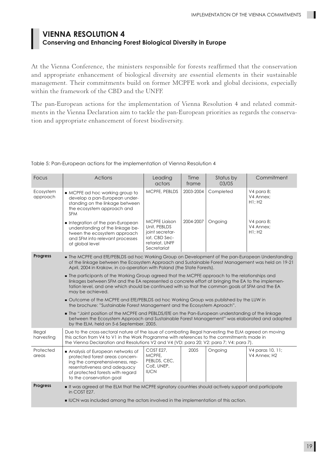### **VIENNA RESOLUTION 4 Conserving and Enhancing Forest Biological Diversity in Europe**

At the Vienna Conference, the ministers responsible for forests reaffirmed that the conservation and appropriate enhancement of biological diversity are essential elements in their sustainable management. Their commitments build on former MCPFE work and global decisions, especially within the framework of the CBD and the UNFF.

The pan-European actions for the implementation of Vienna Resolution 4 and related commitments in the Vienna Declaration aim to tackle the pan-European priorities as regards the conservation and appropriate enhancement of forest biodiversity.

| Focus                 | <b>Actions</b>                                                                                                                                                                                                                                                                                                              | Leading<br>actors                                                                                         | Time<br>frame | Status by<br>03/05 | Commitment                        |
|-----------------------|-----------------------------------------------------------------------------------------------------------------------------------------------------------------------------------------------------------------------------------------------------------------------------------------------------------------------------|-----------------------------------------------------------------------------------------------------------|---------------|--------------------|-----------------------------------|
| Ecosystem<br>approach | MCPFE ad hoc working group to<br>develop a pan-European under-<br>standing on the linkage between<br>the ecosystem approach and<br><b>SFM</b>                                                                                                                                                                               | MCPFE, PEBLDS                                                                                             | 2003-2004     | Completed          | V4 para 8;<br>V4 Annex:<br>H1: H2 |
|                       | Integration of the pan-European<br>understanding of the linkage be-<br>tween the ecosystem approach<br>and SFM into relevant processes<br>at global level                                                                                                                                                                   | <b>MCPFE Liaison</b><br>Unit, PEBLDS<br>joint secretar-<br>iat, CBD Sec-<br>retariat, UNFF<br>Secretariat | 2004-2007     | Ongoing            | V4 para 8;<br>V4 Annex:<br>H1: H2 |
| <b>Progress</b>       | The MCPFE and EfE/PEBLDS ad hoc Working Group on Development of the pan-European Understanding<br>of the linkage between the Ecosystem Approach and Sustainable Forest Management was held on 19-21<br>April, 2004 in Krakow, in co-operation with Poland (the State Forests).                                              |                                                                                                           |               |                    |                                   |
|                       | • The participants of the Working Group agreed that the MCPFE approach to the relationships and<br>linkages between SFM and the EA represented a concrete effort at bringing the EA to the implemen-<br>tation level, and one which should be continued with so that the common goals of SFM and the EA<br>may be achieved. |                                                                                                           |               |                    |                                   |
|                       | Outcome of the MCPFE and EfE/PEBLDS ad hoc Working Group was published by the LUW in<br>the brochure: "Sustainable Forest Management and the Ecosystem Aproach".                                                                                                                                                            |                                                                                                           |               |                    |                                   |
|                       | The "Joint position of the MCPFE and PEBLDS/EfE on the Pan-European understanding of the linkage<br>between the Ecosystem Approach and Sustainable Forest Management" was elaborated and adopted<br>by the ELM, held on 5-6 September, 2005.                                                                                |                                                                                                           |               |                    |                                   |
| Illegal<br>harvesting | Due to the cross-sectoral nature of the issue of combating illegal harvesting the ELM agreed on moving<br>this action from V4 to V1 in the Work Programme with references to the commitments made in<br>the Vienna Declaration and Resolutions V2 and V4 (VD: para 20; V2: para 7; V4: para 7).                             |                                                                                                           |               |                    |                                   |
| Protected<br>areas    | Analysis of European networks of<br>protected forest areas concern-<br>ing the comprehensiveness, rep-<br>resentativeness and adequacy<br>of protected forests with regard<br>to the conservation goal                                                                                                                      | COST E27,<br>MCPFE,<br>PEBLDS, CEC,<br>CoE, UNEP,<br><b>IUCN</b>                                          | 2005          | Ongoing            | V4 paras 10, 11;<br>V4 Annex: H2  |
| Progress              | If was agreed at the ELM that the MCPFE signatory countries should actively support and participate<br>in COST E27.                                                                                                                                                                                                         |                                                                                                           |               |                    |                                   |
|                       | UCN was included among the actors involved in the implementation of this action.                                                                                                                                                                                                                                            |                                                                                                           |               |                    |                                   |

Table 5: Pan-European actions for the implementation of Vienna Resolution 4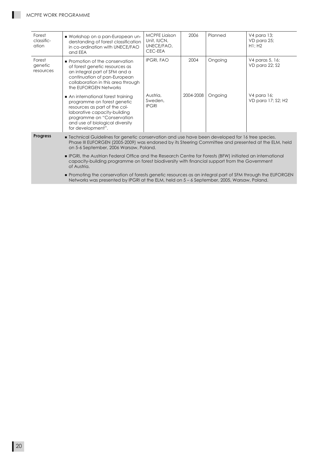ш

| Forest<br>classific-<br>ation                                                                                                                                                                           | Workshop on a pan-European un-<br>derstanding of forest classification<br>in co-ordination with UNECE/FAO<br>and EEA                                                                                                                               | <b>MCPFE Liaison</b><br>Unit, IUCN,<br>UNECE/FAO,<br>CEC-EEA | 2006      | Planned | V4 para 13;<br>VD para 25;<br>H1: H2 |  |  |
|---------------------------------------------------------------------------------------------------------------------------------------------------------------------------------------------------------|----------------------------------------------------------------------------------------------------------------------------------------------------------------------------------------------------------------------------------------------------|--------------------------------------------------------------|-----------|---------|--------------------------------------|--|--|
| Forest<br>genetic<br>resources                                                                                                                                                                          | • Promotion of the conservation<br>of forest genetic resources as<br>an integral part of SFM and a<br>continuation of pan-European<br>collaboration in this area through<br>the EUFORGEN Networks                                                  | <b>IPGRI, FAO</b>                                            | 2004      | Ongoing | V4 paras 5, 16;<br>VD para 22; \$2   |  |  |
|                                                                                                                                                                                                         | An international forest training<br>programme on forest genetic<br>resources as part of the col-<br>laborative capacity-building<br>programme on "Conservation<br>and use of biological diversity<br>for development".                             | Austria,<br>Sweden,<br><b>IPGRI</b>                          | 2004-2008 | Ongoing | V4 para 16;<br>VD para 17; \$2; H2   |  |  |
| <b>Progress</b>                                                                                                                                                                                         | • Technical Guidelines for genetic conservation and use have been developed for 16 tree species.<br>Phase III EUFORGEN (2005-2009) was endorsed by its Steering Committee and presented at the ELM, held<br>on 5-6 September, 2006 Warsaw, Poland. |                                                              |           |         |                                      |  |  |
|                                                                                                                                                                                                         | <b>PGRI, the Austrian Federal Office and the Research Centre for Forests (BFW) initiated an international</b><br>capacity-building programme on forest biodiversity with financial support from the Government<br>of Austria.                      |                                                              |           |         |                                      |  |  |
| • Promoting the conservation of forests genetic resources as an integral part of SFM through the EUFORGEN<br>Networks was presented by IPGRI at the ELM, held on 5 – 6 September, 2005, Warsaw, Poland. |                                                                                                                                                                                                                                                    |                                                              |           |         |                                      |  |  |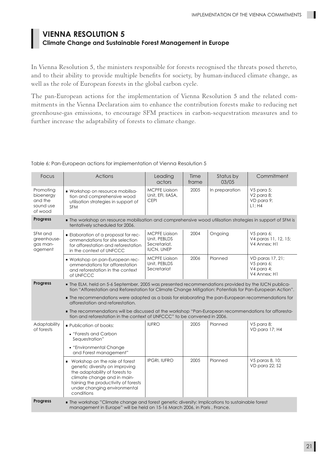### **VIENNA RESOLUTION 5 Climate Change and Sustainable Forest Management in Europe**

In Vienna Resolution 5, the ministers responsible for forests recognised the threats posed thereto, and to their ability to provide multiple benefits for society, by human-induced climate change, as well as the role of European forests in the global carbon cycle.

The pan-European actions for the implementation of Vienna Resolution 5 and the related commitments in the Vienna Declaration aim to enhance the contribution forests make to reducing net greenhouse-gas emissions, to encourage SFM practices in carbon-sequestration measures and to further increase the adaptability of forests to climate change.

| Focus                                                     | Actions                                                                                                                                                                                                                | Leading<br>actors                                                         | Time<br>frame | Status by<br>03/05 | Commitment                                                   |
|-----------------------------------------------------------|------------------------------------------------------------------------------------------------------------------------------------------------------------------------------------------------------------------------|---------------------------------------------------------------------------|---------------|--------------------|--------------------------------------------------------------|
| Promoting<br>bioenergy<br>and the<br>sound use<br>of wood | Workshop on resource mobilisa-<br>tion and comprehensive wood<br>utilisation strategies in support of<br><b>SFM</b>                                                                                                    | <b>MCPFE Liaison</b><br>Unit, EFI, IIASA,<br><b>CEPI</b>                  | 2005          | In preparation     | V5 para 5;<br>V2 para 8;<br>VD para 9;<br>L1:HA              |
| <b>Progress</b>                                           | The workshop on resource mobilisation and comprehensive wood utilisation strategies in support of SFM is<br>tentatively scheduled for 2006.                                                                            |                                                                           |               |                    |                                                              |
| SFM and<br>greenhouse-<br>gas man-<br>agement             | <b>Elaboration of a proposal for rec-</b><br>ommendations for site selection<br>for afforestation and reforestation<br>in the context of UNFCCC                                                                        | <b>MCPFE Liaison</b><br>Unit, PEBLDS<br>Secretariat,<br><b>IUCN, UNEP</b> | 2004          | Ongoing            | V5 para 6;<br>V4 paras 11, 12, 15;<br>V4 Annex: H1           |
|                                                           | Workshop on pan-European rec-<br>ommendations for afforestation<br>and reforestation in the context<br>of UNFCCC                                                                                                       | MCPFE Liaison<br>Unit, PEBLDS<br>Secretariat                              | 2006          | Planned            | VD paras 17, 21;<br>V5 para 6;<br>V4 para 4;<br>V4 Annex: H1 |
| <b>Progress</b>                                           | The ELM, held on 5-6 September, 2005 was presented recommendations provided by the IUCN publica-<br>tion "Afforestation and Reforestation for Climate Change Mitigation: Potentials for Pan-European Action".          |                                                                           |               |                    |                                                              |
|                                                           | • The recommendations were adopted as a basis for elaborating the pan-European recommendations for<br>afforestation and reforestation.                                                                                 |                                                                           |               |                    |                                                              |
|                                                           | The recommendations will be discussed at the workshop "Pan-European recommendations for afforesta-<br>tion and reforestation in the context of UNFCCC" to be convened in 2006.                                         |                                                                           |               |                    |                                                              |
| Adaptability                                              | <b>Publication of books:</b>                                                                                                                                                                                           | <b>IUFRO</b>                                                              | 2005          |                    |                                                              |
| of forests                                                |                                                                                                                                                                                                                        |                                                                           |               | Planned            | V5 para 8;                                                   |
|                                                           | <b>Forests and Carbon</b><br>Sequestration"                                                                                                                                                                            |                                                                           |               |                    | VD para 17; H4                                               |
|                                                           | <b>Environmental Change</b><br>and Forest management"                                                                                                                                                                  |                                                                           |               |                    |                                                              |
|                                                           | Workshop on the role of forest<br>genetic diversity on improving<br>the adaptability of forests to<br>climate change and in main-<br>taining the productivity of forests<br>under changing environmental<br>conditions | <b>IPGRI, IUFRO</b>                                                       | 2005          | Planned            | V5 paras 8, 10;<br>VD para 22; \$2                           |

Table 6: Pan-European actions for implementation of Vienna Resolution 5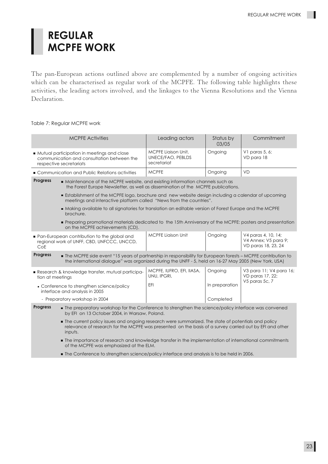# **REGULAR MCPFE WORK**

The pan-European actions outlined above are complemented by a number of ongoing activities which can be characterised as regular work of the MCPFE. The following table highlights these activities, the leading actors involved, and the linkages to the Vienna Resolutions and the Vienna Declaration.

#### Table 7: Regular MCPFE work

| <b>MCPFE Activities</b>                                                                                                                                                                                                                  | Leading actors                                          | Status by<br>03/05 | Commitment                                                         |  |
|------------------------------------------------------------------------------------------------------------------------------------------------------------------------------------------------------------------------------------------|---------------------------------------------------------|--------------------|--------------------------------------------------------------------|--|
| Mutual participation in meetings and close<br>communication and consultation between the<br>respective secretariats                                                                                                                      | MCPFE Liaison Unit,<br>UNECE/FAO, PEBLDS<br>secretariat | Ongoing            | V1 paras 5, 6;<br>VD para 18                                       |  |
| Communication and Public Relations activities                                                                                                                                                                                            | <b>MCPFE</b>                                            | Ongoing            | <b>VD</b>                                                          |  |
| <b>Progress</b><br>Maintenance of the MCPFE website, and existing information channels such as<br>the Forest Europe Newsletter, as well as dissemination of the MCPFE publications.                                                      |                                                         |                    |                                                                    |  |
| <b>Establishment of the MCPFE logo, brochure and new website design including a calendar of upcoming</b><br>meetings and interactive platform called "News from the countries".                                                          |                                                         |                    |                                                                    |  |
| ■ Making available to all signatories for translation an editable version of Forest Europe and the MCPFE<br>brochure.                                                                                                                    |                                                         |                    |                                                                    |  |
| Preparing promotional materials dedicated to the 15th Anniversary of the MCPFE: posters and presentation<br>on the MCPFE achievements (CD).                                                                                              |                                                         |                    |                                                                    |  |
| • Pan-European contribution to the global and<br>regional work of UNFF, CBD, UNFCCC, UNCCD,<br>CoE                                                                                                                                       | <b>MCPFE Liaison Unit</b>                               | Ongoing            | V4 paras 4, 10, 14;<br>V4 Annex; V5 para 9;<br>VD paras 18, 23, 24 |  |
| <b>Progress</b><br>The MCPFE side event "15 years of partnership in responsibility for European forests - MCPFE contribution to<br>the international dialogue" was organized during the UNFF - 5, held on 16-27 May 2005 (New York, USA) |                                                         |                    |                                                                    |  |
| Research & knowledge transfer, mutual participa-<br>tion at meetings                                                                                                                                                                     | MCPFE, IUFRO, EFI, IIASA,<br>UNU, IPGRI,                | Ongoing            | V3 para 11; V4 para 16;<br>VD paras 17, 22;                        |  |
| • Conference to strengthen science/policy<br>interface and analysis in 2005                                                                                                                                                              | EFI                                                     | In preparation     | V5 paras 5c, 7                                                     |  |
| - Preparatory workshop in 2004                                                                                                                                                                                                           |                                                         | Completed          |                                                                    |  |
| <b>Progress</b><br>• The preparatory workshop for the Conference to strengthen the science/policy interface was convened<br>by EFI on 13 October 2004, in Warsaw, Poland.                                                                |                                                         |                    |                                                                    |  |
| The current policy issues and ongoing research were summarized. The state of potentials and policy<br>relevance of research for the MCPFE was presented on the basis of a survey carried out by EFI and other<br>inputs.                 |                                                         |                    |                                                                    |  |
| • The importance of research and knowledge transfer in the implementation of international commitments<br>of the MCPFE was emphasized at the ELM.                                                                                        |                                                         |                    |                                                                    |  |

**The Conference to strengthen science/policy interface and analysis is to be held in 2006.**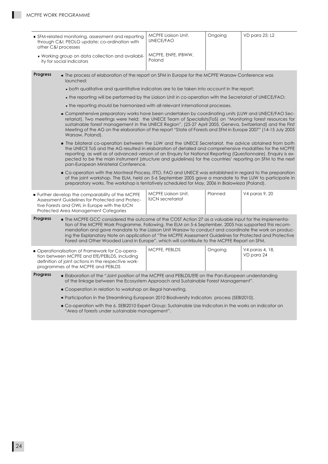П

| ■ SFM-related monitoring, assessment and reporting<br>through C&I PEOLG update; co-ordination with<br>other C&I processes                                                                                                                                                                                                                                                                                                                                                                                                                         |                                                                                                                                                                                                                                                                                                                                                                                                                                                                                        | <b>MCPFE Liaison Unit,</b><br>UNECE/FAO                                                       | Ongoing | VD para 25; L2                |  |  |  |
|---------------------------------------------------------------------------------------------------------------------------------------------------------------------------------------------------------------------------------------------------------------------------------------------------------------------------------------------------------------------------------------------------------------------------------------------------------------------------------------------------------------------------------------------------|----------------------------------------------------------------------------------------------------------------------------------------------------------------------------------------------------------------------------------------------------------------------------------------------------------------------------------------------------------------------------------------------------------------------------------------------------------------------------------------|-----------------------------------------------------------------------------------------------|---------|-------------------------------|--|--|--|
| • Working group on data collection and availabil-<br>ity for social indicators                                                                                                                                                                                                                                                                                                                                                                                                                                                                    |                                                                                                                                                                                                                                                                                                                                                                                                                                                                                        | MCPFE, ENFE, IFBWW,<br>Poland                                                                 |         |                               |  |  |  |
| <b>Progress</b>                                                                                                                                                                                                                                                                                                                                                                                                                                                                                                                                   | launched:                                                                                                                                                                                                                                                                                                                                                                                                                                                                              | The process of elaboration of the report on SFM in Europe for the MCPFE Warsaw Conference was |         |                               |  |  |  |
|                                                                                                                                                                                                                                                                                                                                                                                                                                                                                                                                                   | • both qualitative and quantitative indicators are to be taken into account in the report;                                                                                                                                                                                                                                                                                                                                                                                             |                                                                                               |         |                               |  |  |  |
|                                                                                                                                                                                                                                                                                                                                                                                                                                                                                                                                                   | • the reporting will be performed by the Liaison Unit in co-operation with the Secretariat of UNECE/FAO;                                                                                                                                                                                                                                                                                                                                                                               |                                                                                               |         |                               |  |  |  |
|                                                                                                                                                                                                                                                                                                                                                                                                                                                                                                                                                   | • the reporting should be harmonized with all relevant international processes.                                                                                                                                                                                                                                                                                                                                                                                                        |                                                                                               |         |                               |  |  |  |
|                                                                                                                                                                                                                                                                                                                                                                                                                                                                                                                                                   | Omprehensive preparatory works have been undertaken by coordinating units (LUW and UNECE/FAO Sec-<br>retariat). Two meetings were held: the UNECE Team of Specialists(ToS) on "Monitoring forest resources for<br>sustainable forest management in the UNECE Region", (25-27 April 2005, Geneva, Switzerland) and the First<br>Meeting of the AG on the elaboration of the report "State of Forests and SFM in Europe 2007" (14-15 July 2005<br>Warsaw, Poland).                       |                                                                                               |         |                               |  |  |  |
|                                                                                                                                                                                                                                                                                                                                                                                                                                                                                                                                                   | The bilateral co-operation between the LUW and the UNECE Secretariat, the advice obtained from both<br>the UNECE ToS and the AG resulted in elaboration of detailed and comprehensive modalities for the MCPFE<br>reporting as well as of advanced version of an Enquiry for National Reporting (Questionnaire). Enquiry is ex-<br>pected to be the main instrument (structure and guidelines) for the countries' reporting on SFM to the next<br>pan-European Ministerial Conference. |                                                                                               |         |                               |  |  |  |
|                                                                                                                                                                                                                                                                                                                                                                                                                                                                                                                                                   | ■ Co-operation with the Montreal Process, ITTO, FAO and UNECE was established in regard to the preparation<br>of the joint workshop. The ELM, held on 5-6 September 2005 gave a mandate to the LUW to participate in<br>preparatory works. The workshop is tentatively scheduled for May, 2006 in Bialowieza (Poland).                                                                                                                                                                 |                                                                                               |         |                               |  |  |  |
| Planned<br>V4 paras 9, 20<br><b>MCPFE Liaison Unit,</b><br>Further develop the comparability of the MCPFE<br><b>IUCN</b> secretariat<br>Assessment Guidelines for Protected and Protec-<br>tive Forests and OWL in Europe with the IUCN<br>Protected Area Management Categories                                                                                                                                                                                                                                                                   |                                                                                                                                                                                                                                                                                                                                                                                                                                                                                        |                                                                                               |         |                               |  |  |  |
| <b>Progress</b><br>• The MCPFE GCC considered the outcome of the COST Action 27 as a valuable input for the implementa-<br>tion of the MCPFE Work Programme. Following, the ELM on 5-6 September, 2005 has supported this recom-<br>mendation and gave mandate to the Liaison Unit Warsaw to conduct and coordinate the work on produc-<br>ing the Explanatory Note on application of "The MCPFE Assessment Guidelines for Protected and Protective<br>Forest and Other Wooded Land in Europe", which will contribute to the MCPFE Report on SFM. |                                                                                                                                                                                                                                                                                                                                                                                                                                                                                        |                                                                                               |         |                               |  |  |  |
|                                                                                                                                                                                                                                                                                                                                                                                                                                                                                                                                                   | ■ Operationalisation of Framework for Co-opera-<br>tion between MCPFE and EfE/PEBLDS, including<br>definition of joint actions in the respective work-<br>programmes of the MCPFE and PEBLDS                                                                                                                                                                                                                                                                                           | MCPFE, PEBLDS                                                                                 | Ongoing | V4 paras 4, 18,<br>VD para 24 |  |  |  |
| <b>Progress</b>                                                                                                                                                                                                                                                                                                                                                                                                                                                                                                                                   | Elaboration of the "Joint position of the MCPFE and PEBLDS/EfE on the Pan-European understanding<br>of the linkage between the Ecosystem Approach and Sustainable Forest Management".                                                                                                                                                                                                                                                                                                  |                                                                                               |         |                               |  |  |  |
|                                                                                                                                                                                                                                                                                                                                                                                                                                                                                                                                                   | • Cooperation in relation to workshop on illegal harvesting.                                                                                                                                                                                                                                                                                                                                                                                                                           |                                                                                               |         |                               |  |  |  |
|                                                                                                                                                                                                                                                                                                                                                                                                                                                                                                                                                   | ■ Participation in the Streamlining European 2010 Biodiversity Indicators process (SEBI2010).                                                                                                                                                                                                                                                                                                                                                                                          |                                                                                               |         |                               |  |  |  |
|                                                                                                                                                                                                                                                                                                                                                                                                                                                                                                                                                   | ■ Co-operation with the 6. SEBI2010 Expert Group: Sustainable Use Indicators in the works on indicator on<br>"Area of forests under sustainable management".                                                                                                                                                                                                                                                                                                                           |                                                                                               |         |                               |  |  |  |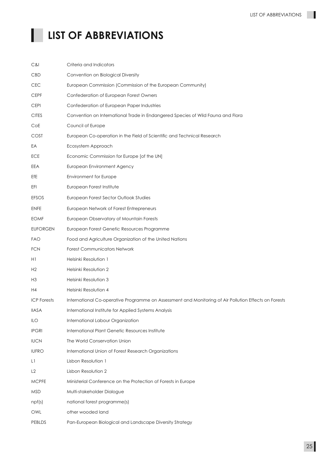ш

# **LIST OF ABBREVIATIONS**

| C&I                | Criteria and Indicators                                                                               |
|--------------------|-------------------------------------------------------------------------------------------------------|
| <b>CBD</b>         | Convention on Biological Diversity                                                                    |
| <b>CEC</b>         | European Commission (Commission of the European Community)                                            |
| <b>CEPF</b>        | Confederation of European Forest Owners                                                               |
| <b>CEPI</b>        | Confederation of European Paper Industries                                                            |
| <b>CITES</b>       | Convention on International Trade in Endangered Species of Wild Fauna and Flora                       |
| CoE                | Council of Europe                                                                                     |
| <b>COST</b>        | European Co-operation in the Field of Scientific and Technical Research                               |
| EA                 | Ecosystem Approach                                                                                    |
| ECE                | Economic Commission for Europe [of the UN]                                                            |
| EEA                | European Environment Agency                                                                           |
| EfE                | Environment for Europe                                                                                |
| EFI                | European Forest Institute                                                                             |
| EFSOS              | European Forest Sector Outlook Studies                                                                |
| <b>ENFE</b>        | European Network of Forest Entrepreneurs                                                              |
| <b>EOMF</b>        | European Observatory of Mountain Forests                                                              |
| <b>EUFORGEN</b>    | European Forest Genetic Resources Programme                                                           |
| <b>FAO</b>         | Food and Agriculture Organization of the United Nations                                               |
| <b>FCN</b>         | <b>Forest Communicators Network</b>                                                                   |
| H1                 | Helsinki Resolution 1                                                                                 |
| H2                 | Helsinki Resolution 2                                                                                 |
| H <sub>3</sub>     | Helsinki Resolution 3                                                                                 |
| H4                 | Helsinki Resolution 4                                                                                 |
| <b>ICP</b> Forests | International Co-operative Programme on Assessment and Monitoring of Air Pollution Effects on Forests |
| <b>IIASA</b>       | International Institute for Applied Systems Analysis                                                  |
| ILO                | International Labour Organization                                                                     |
| <b>IPGRI</b>       | International Plant Genetic Resources Institute                                                       |
| <b>IUCN</b>        | The World Conservation Union                                                                          |
| <b>IUFRO</b>       | International Union of Forest Research Organizations                                                  |
| L1                 | Lisbon Resolution 1                                                                                   |
| L2                 | Lisbon Resolution 2                                                                                   |
| <b>MCPFE</b>       | Ministerial Conference on the Protection of Forests in Europe                                         |
| <b>MSD</b>         | Multi-stakeholder Dialogue                                                                            |
| npf(s)             | national forest programme(s)                                                                          |
| OWL                | other wooded land                                                                                     |
| PEBLDS             | Pan-European Biological and Landscape Diversity Strategy                                              |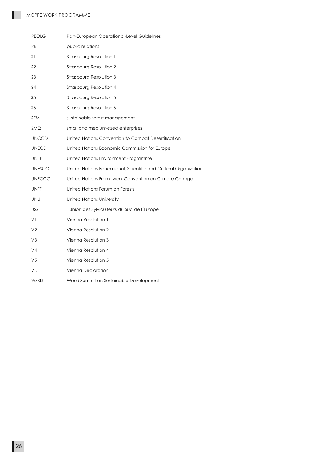П

| <b>PEOLG</b>   | Pan-European Operational-Level Guidelines                        |
|----------------|------------------------------------------------------------------|
| <b>PR</b>      | public relations                                                 |
| S <sub>1</sub> | Strasbourg Resolution 1                                          |
| S <sub>2</sub> | Strasbourg Resolution 2                                          |
| S <sub>3</sub> | Strasbourg Resolution 3                                          |
| S4             | Strasbourg Resolution 4                                          |
| S <sub>5</sub> | Strasbourg Resolution 5                                          |
| S6             | Strasbourg Resolution 6                                          |
| <b>SFM</b>     | sustainable forest management                                    |
| <b>SMEs</b>    | small and medium-sized enterprises                               |
| <b>UNCCD</b>   | United Nations Convention to Combat Desertification              |
| <b>UNECE</b>   | United Nations Economic Commission for Europe                    |
| <b>UNEP</b>    | United Nations Environment Programme                             |
| <b>UNESCO</b>  | United Nations Educational, Scientific and Cultural Organization |
| <b>UNFCCC</b>  | United Nations Framework Convention on Climate Change            |
| <b>UNFF</b>    | United Nations Forum on Forests                                  |
| <b>UNU</b>     | <b>United Nations University</b>                                 |
| <b>USSE</b>    | l'Union des Sylviculteurs du Sud de l'Europe                     |
| VI             | Vienna Resolution 1                                              |
| V <sub>2</sub> | Vienna Resolution 2                                              |
| V3             | Vienna Resolution 3                                              |
| V <sub>4</sub> | Vienna Resolution 4                                              |
| V5             | Vienna Resolution 5                                              |
| <b>VD</b>      | Vienna Declaration                                               |
| WSSD           | World Summit on Sustainable Development                          |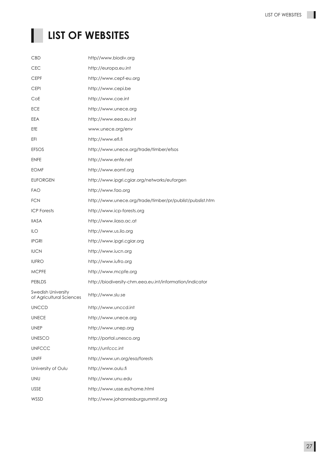ш

# **LIST OF WEBSITES**

| http//www.biodiv.org                                      |
|-----------------------------------------------------------|
| http://europa.eu.int                                      |
| http://www.cepf-eu.org                                    |
| http://www.cepi.be                                        |
| http://www.coe.int                                        |
| http://www.unece.org                                      |
| http://www.eea.eu.int                                     |
| www.unece.org/env                                         |
| http://www.efi.fi                                         |
| http://www.unece.org/trade/timber/efsos                   |
| http://www.enfe.net                                       |
| http://www.eomf.org                                       |
| http://www.ipgri.cgiar.org/networks/euforgen              |
| http://www.fao.org                                        |
| http://www.unece.org/trade/timber/pr/publist/pubslist.htm |
| http://www.icp-forests.org                                |
| http://www.iiasa.ac.at                                    |
| http://www.us.ilo.org                                     |
| http://www.ipgri.cgiar.org                                |
| http://www.iucn.org                                       |
| http://www.iufro.org                                      |
| http://www.mcpfe.org                                      |
| http://biodiversity-chm.eea.eu.int/information/indicator  |
| http://www.slu.se                                         |
| http://www.unccd.int                                      |
| http://www.unece.org                                      |
| http://www.unep.org                                       |
| http://portal.unesco.org                                  |
| http://unfccc.int                                         |
| http://www.un.org/esa/forests                             |
| http://www.oulu.fi                                        |
| http://www.unu.edu                                        |
| http://www.usse.es/home.html                              |
| http://www.johannesburgsummit.org                         |
|                                                           |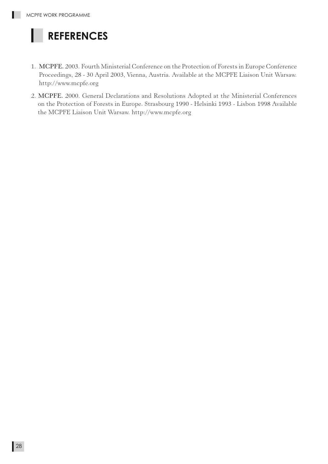# **REFERENCES**

- 1. MCPFE. 2003. Fourth Ministerial Conference on the Protection of Forests in Europe Conference Proceedings, 28 - 30 April 2003, Vienna, Austria. Available at the MCPFE Liaison Unit Warsaw. http://www.mcpfe.org
- 2. MCPFE. 2000. General Declarations and Resolutions Adopted at the Ministerial Conferences on the Protection of Forests in Europe. Strasbourg 1990 - Helsinki 1993 - Lisbon 1998 Available the MCPFE Liaison Unit Warsaw. http://www.mcpfe.org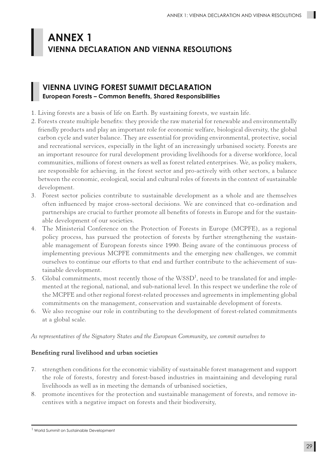## **ANNEX 1 VIENNA DECLARATION AND VIENNA RESOLUTIONS**

### **VIENNA LIVING FOREST SUMMIT DECLARATION European Forests – Common Benefits, Shared Responsibilities**

- 1. Living forests are a basis of life on Earth. By sustaining forests, we sustain life.
- 2. Forests create multiple benefits: they provide the raw material for renewable and environmentally friendly products and play an important role for economic welfare, biological diversity, the global carbon cycle and water balance. They are essential for providing environmental, protective, social and recreational services, especially in the light of an increasingly urbanised society. Forests are an important resource for rural development providing livelihoods for a diverse workforce, local communities, millions of forest owners as well as forest related enterprises. We, as policy makers, are responsible for achieving, in the forest sector and pro-actively with other sectors, a balance between the economic, ecological, social and cultural roles of forests in the context of sustainable development.
- 3. Forest sector policies contribute to sustainable development as a whole and are themselves often influenced by major cross-sectoral decisions. We are convinced that co-ordination and partnerships are crucial to further promote all benefits of forests in Europe and for the sustainable development of our societies.
- 4. The Ministerial Conference on the Protection of Forests in Europe (MCPFE), as a regional policy process, has pursued the protection of forests by further strengthening the sustainable management of European forests since 1990. Being aware of the continuous process of implementing previous MCPFE commitments and the emerging new challenges, we commit ourselves to continue our efforts to that end and further contribute to the achievement of sustainable development.
- 5. Global commitments, most recently those of the WSSD<sup>1</sup>, need to be translated for and implemented at the regional, national, and sub-national level. In this respect we underline the role of the MCPFE and other regional forest-related processes and agreements in implementing global commitments on the management, conservation and sustainable development of forests.
- 6. We also recognise our role in contributing to the development of forest-related commitments at a global scale.

*As representatives of the Signatory States and the European Community, we commit ourselves to*

#### Benefiting rural livelihood and urban societies

- 7. strengthen conditions for the economic viability of sustainable forest management and support the role of forests, forestry and forest-based industries in maintaining and developing rural livelihoods as well as in meeting the demands of urbanised societies,
- 8. promote incentives for the protection and sustainable management of forests, and remove incentives with a negative impact on forests and their biodiversity,

<sup>1</sup> World Summit on Sustainable Development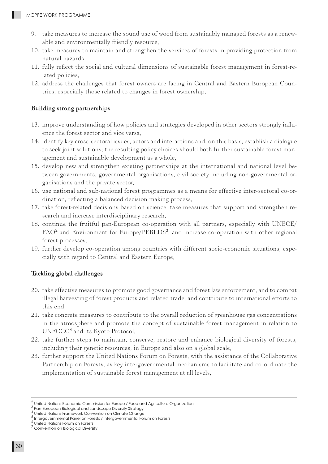- 9. take measures to increase the sound use of wood from sustainably managed forests as a renewable and environmentally friendly resource,
- 10. take measures to maintain and strengthen the services of forests in providing protection from natural hazards,
- 11. fully reflect the social and cultural dimensions of sustainable forest management in forest-related policies,
- 12. address the challenges that forest owners are facing in Central and Eastern European Countries, especially those related to changes in forest ownership,

#### Building strong partnerships

- 13. improve understanding of how policies and strategies developed in other sectors strongly influence the forest sector and vice versa,
- 14. identify key cross-sectoral issues, actors and interactions and, on this basis, establish a dialogue to seek joint solutions; the resulting policy choices should both further sustainable forest management and sustainable development as a whole,
- 15. develop new and strengthen existing partnerships at the international and national level between governments, governmental organisations, civil society including non-governmental organisations and the private sector,
- 16. use national and sub-national forest programmes as a means for effective inter-sectoral co-ordination, reflecting a balanced decision making process,
- 17. take forest-related decisions based on science, take measures that support and strengthen research and increase interdisciplinary research,
- 18. continue the fruitful pan-European co-operation with all partners, especially with UNECE/ FAO<sup>2</sup> and Environment for Europe/PEBLDS<sup>3</sup>, and increase co-operation with other regional forest processes,
- 19. further develop co-operation among countries with different socio-economic situations, especially with regard to Central and Eastern Europe,

#### Tackling global challenges

- 20. take effective measures to promote good governance and forest law enforcement, and to combat illegal harvesting of forest products and related trade, and contribute to international efforts to this end,
- 21. take concrete measures to contribute to the overall reduction of greenhouse gas concentrations in the atmosphere and promote the concept of sustainable forest management in relation to UNFCCC<sup>4</sup> and its Kyoto Protocol,
- 22. take further steps to maintain, conserve, restore and enhance biological diversity of forests, including their genetic resources, in Europe and also on a global scale,
- 23. further support the United Nations Forum on Forests, with the assistance of the Collaborative Partnership on Forests, as key intergovernmental mechanisms to facilitate and co-ordinate the implementation of sustainable forest management at all levels,

<sup>2</sup> United Nations Economic Commission for Europe / Food and Agriculture Organization

<sup>3</sup> Pan-European Biological and Landscape Diversity Strategy

<sup>4</sup> United Nations Framework Convention on Climate Change

<sup>5</sup> Intergovernmental Panel on Forests / Intergovernmental Forum on Forests

<sup>6</sup> United Nations Forum on Forests

<sup>7</sup> Convention on Biological Diversity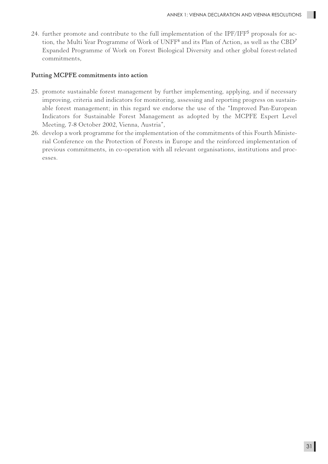24. further promote and contribute to the full implementation of the IPF/IFF<sup>5</sup> proposals for action, the Multi Year Programme of Work of UNFF<sup>6</sup> and its Plan of Action, as well as the  $\mathrm{CBD}^7$ Expanded Programme of Work on Forest Biological Diversity and other global forest-related commitments,

#### Putting MCPFE commitments into action

- 25. promote sustainable forest management by further implementing, applying, and if necessary improving, criteria and indicators for monitoring, assessing and reporting progress on sustainable forest management; in this regard we endorse the use of the "Improved Pan-European Indicators for Sustainable Forest Management as adopted by the MCPFE Expert Level Meeting, 7-8 October 2002, Vienna, Austria",
- 26. develop a work programme for the implementation of the commitments of this Fourth Ministerial Conference on the Protection of Forests in Europe and the reinforced implementation of previous commitments, in co-operation with all relevant organisations, institutions and processes.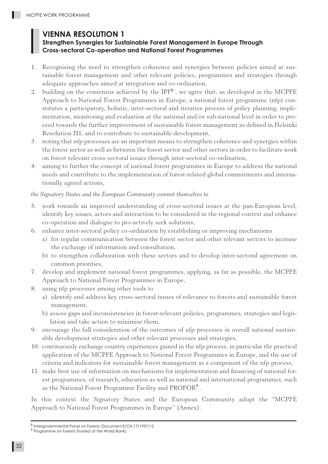## **VIENNA RESOLUTION 1**

### **Strengthen Synergies for Sustainable Forest Management in Europe Through Cross-sectoral Co-operation and National Forest Programmes**

- 1. Recognising the need to strengthen coherence and synergies between policies aimed at sustainable forest management and other relevant policies, programmes and strategies through adequate approaches aimed at integration and co-ordination,
- 2. building on the consensus achieved by the IPF<sup>8</sup>, we agree that, as developed in the MCPFE Approach to National Forest Programmes in Europe, a national forest programme (nfp) constitutes a participatory, holistic, inter-sectoral and iterative process of policy planning, implementation, monitoring and evaluation at the national and/or sub-national level in order to proceed towards the further improvement of sustainable forest management as defined in Helsinki Resolution H1, and to contribute to sustainable development,
- 3. noting that nfp processes are an important means to strengthen coherence and synergies within the forest sector as well as between the forest sector and other sectors in order to facilitate work on forest relevant cross-sectoral issues through inter-sectoral co-ordination,
- 4. aiming to further the concept of national forest programmes in Europe to address the national needs and contribute to the implementation of forest-related global commitments and internationally agreed actions,

#### *the Signatory States and the European Community commit themselves to*

- 5. work towards an improved understanding of cross-sectoral issues at the pan-European level, identify key issues, actors and interaction to be considered in the regional context and enhance co-operation and dialogue to pro-actively seek solutions,
- 6. enhance inter-sectoral policy co-ordination by establishing or improving mechanisms
	- a) for regular communication between the forest sector and other relevant sectors to increase the exchange of information and consultation,
	- b) to strengthen collaboration with these sectors and to develop inter-sectoral agreement on common priorities,
- 7. develop and implement national forest programmes, applying, as far as possible, the MCPFE Approach to National Forest Programmes in Europe,
- 8. using nfp processes among other tools to
	- a) identify and address key cross-sectoral issues of relevance to forests and sustainable forest management,
	- b) assess gaps and inconsistencies in forest-relevant policies, programmes, strategies and legislation and take action to minimise them,
- 9. encourage the full consideration of the outcomes of nfp processes in overall national sustainable development strategies and other relevant processes and strategies,
- 10. continuously exchange country experiences gained in the nfp process, in particular the practical application of the MCPFE Approach to National Forest Programmes in Europe, and the use of criteria and indicators for sustainable forest management as a component of the nfp process,
- 11. make best use of information on mechanisms for implementation and financing of national forest programmes, of research, education as well as national and international programmes, such as the National Forest Programme Facility and PROFOR<sup>9</sup> .

In this context the Signatory States and the European Community adopt the "MCPFE Approach to National Forest Programmes in Europe" (Annex).

<sup>8</sup> Intergovernmental Panel on Forests: Document E/CN.17/1997/12

<sup>9</sup> Programme on Forests (hosted at the World Bank)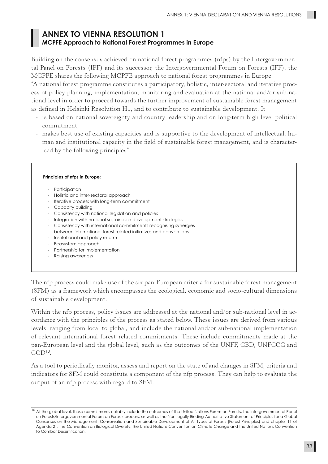### **ANNEX TO VIENNA RESOLUTION 1 MCPFE Approach to National Forest Programmes in Europe**

Building on the consensus achieved on national forest programmes (nfps) by the Intergovernmental Panel on Forests (IPF) and its successor, the Intergovernmental Forum on Forests (IFF), the MCPFE shares the following MCPFE approach to national forest programmes in Europe:

"A national forest programme constitutes a participatory, holistic, inter-sectoral and iterative process of policy planning, implementation, monitoring and evaluation at the national and/or sub-national level in order to proceed towards the further improvement of sustainable forest management as defined in Helsinki Resolution H1, and to contribute to sustainable development. It

- is based on national sovereignty and country leadership and on long-term high level political commitment,
- makes best use of existing capacities and is supportive to the development of intellectual, human and institutional capacity in the field of sustainable forest management, and is characterised by the following principles":

|                          | Principles of nfps in Europe:                                    |
|--------------------------|------------------------------------------------------------------|
| $\overline{a}$           | Participation                                                    |
| $\sim$                   | Holistic and inter-sectoral approach                             |
|                          | Iterative process with long-term commitment                      |
| $\overline{\phantom{0}}$ | Capacity building                                                |
| $\sim$                   | Consistency with national legislation and policies               |
| -                        | Integration with national sustainable development strategies     |
| $-$                      | Consistency with international commitments recognising synergies |
|                          | between international forest related initiatives and conventions |
| $\overline{\phantom{a}}$ | Institutional and policy reform                                  |
| $\overline{\phantom{a}}$ | Ecosystem approach                                               |
|                          | Partnership for implementation                                   |
|                          | Raising awareness                                                |

The nfp process could make use of the six pan-European criteria for sustainable forest management (SFM) as a framework which encompasses the ecological, economic and socio-cultural dimensions of sustainable development.

Within the nfp process, policy issues are addressed at the national and/or sub-national level in accordance with the principles of the process as stated below. These issues are derived from various levels, ranging from local to global, and include the national and/or sub-national implementation of relevant international forest related commitments. These include commitments made at the pan-European level and the global level, such as the outcomes of the UNFF, CBD, UNFCCC and  $CCD<sup>10</sup>$ .

As a tool to periodically monitor, assess and report on the state of and changes in SFM, criteria and indicators for SFM could constitute a component of the nfp process. They can help to evaluate the output of an nfp process with regard to SFM.

<sup>&</sup>lt;sup>10</sup> At the global level, these commitments notably include the outcomes of the United Nations Forum on Forests, the Intergovernmental Panel on Forests/Intergovernmental Forum on Forests process, as well as the Non-legally Binding Authoritative Statement of Principles for a Global Consensus on the Management, Conservation and Sustainable Development of All Types of Forests (Forest Principles) and chapter 11 of Agenda 21, the Convention on Biological Diversity, the United Nations Convention on Climate Change and the United Nations Convention to Combat Desertification.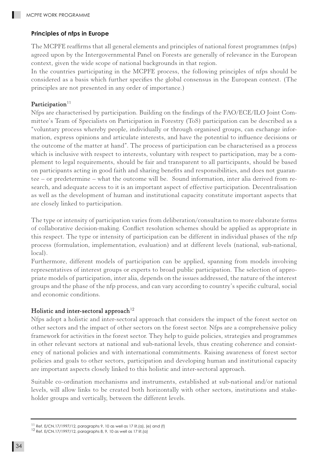#### **Principles of nfps in Europe**

The MCPFE reaffirms that all general elements and principles of national forest programmes (nfps) agreed upon by the Intergovernmental Panel on Forests are generally of relevance in the European context, given the wide scope of national backgrounds in that region.

In the countries participating in the MCPFE process, the following principles of nfps should be considered as a basis which further specifies the global consensus in the European context. (The principles are not presented in any order of importance.)

#### Participation<sup>11</sup>

Nfps are characterised by participation. Building on the findings of the FAO/ECE/ILO Joint Committee's Team of Specialists on Participation in Forestry (ToS) participation can be described as a "voluntary process whereby people, individually or through organised groups, can exchange information, express opinions and articulate interests, and have the potential to influence decisions or the outcome of the matter at hand". The process of participation can be characterised as a process which is inclusive with respect to interests, voluntary with respect to participation, may be a complement to legal requirements, should be fair and transparent to all participants, should be based on participants acting in good faith and sharing benefits and responsibilities, and does not guarantee – or predetermine – what the outcome will be. Sound information, inter alia derived from research, and adequate access to it is an important aspect of effective participation. Decentralisation as well as the development of human and institutional capacity constitute important aspects that are closely linked to participation.

The type or intensity of participation varies from deliberation/consultation to more elaborate forms of collaborative decision-making. Conflict resolution schemes should be applied as appropriate in this respect. The type or intensity of participation can be different in individual phases of the nfp process (formulation, implementation, evaluation) and at different levels (national, sub-national, local).

Furthermore, different models of participation can be applied, spanning from models involving representatives of interest groups or experts to broad public participation. The selection of appropriate models of participation, inter alia, depends on the issues addressed, the nature of the interest groups and the phase of the nfp process, and can vary according to country's specific cultural, social and economic conditions.

#### Holistic and inter-sectoral approach<sup>12</sup>

Nfps adopt a holistic and inter-sectoral approach that considers the impact of the forest sector on other sectors and the impact of other sectors on the forest sector. Nfps are a comprehensive policy framework for activities in the forest sector. They help to guide policies, strategies and programmes in other relevant sectors at national and sub-national levels, thus creating coherence and consistency of national policies and with international commitments. Raising awareness of forest sector policies and goals to other sectors, participation and developing human and institutional capacity are important aspects closely linked to this holistic and inter-sectoral approach.

Suitable co-ordination mechanisms and instruments, established at sub-national and/or national levels, will allow links to be created both horizontally with other sectors, institutions and stakeholder groups and vertically, between the different levels.

<sup>&</sup>lt;sup>11</sup> Ref. E/CN.17/1997/12, paragraphs 9, 10 as well as 17 lit.(a), (e) and (f) <sup>12</sup> Ref. E/CN.17/1997/12, paragraphs 8, 9, 10 as well as 17 lit.(a)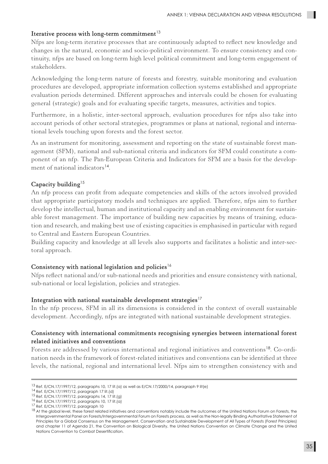#### Iterative process with long-term commitment<sup>13</sup>

Nfps are long-term iterative processes that are continuously adapted to reflect new knowledge and changes in the natural, economic and socio-political environment. To ensure consistency and continuity, nfps are based on long-term high level political commitment and long-term engagement of stakeholders.

Acknowledging the long-term nature of forests and forestry, suitable monitoring and evaluation procedures are developed, appropriate information collection systems established and appropriate evaluation periods determined. Different approaches and intervals could be chosen for evaluating general (strategic) goals and for evaluating specific targets, measures, activities and topics.

Furthermore, in a holistic, inter-sectoral approach, evaluation procedures for nfps also take into account periods of other sectoral strategies, programmes or plans at national, regional and international levels touching upon forests and the forest sector.

As an instrument for monitoring, assessment and reporting on the state of sustainable forest management (SFM), national and sub-national criteria and indicators for SFM could constitute a component of an nfp. The Pan-European Criteria and Indicators for SFM are a basis for the development of national indicators<sup>14</sup>.

#### Capacity building<sup>15</sup>

An nfp process can profit from adequate competencies and skills of the actors involved provided that appropriate participatory models and techniques are applied. Therefore, nfps aim to further develop the intellectual, human and institutional capacity and an enabling environment for sustainable forest management. The importance of building new capacities by means of training, education and research, and making best use of existing capacities is emphasised in particular with regard to Central and Eastern European Countries.

Building capacity and knowledge at all levels also supports and facilitates a holistic and inter-sectoral approach.

#### Consistency with national legislation and policies<sup>16</sup>

Nfps reflect national and/or sub-national needs and priorities and ensure consistency with national, sub-national or local legislation, policies and strategies.

#### Integration with national sustainable development strategies<sup>17</sup>

In the nfp process, SFM in all its dimensions is considered in the context of overall sustainable development. Accordingly, nfps are integrated with national sustainable development strategies.

#### Consistency with international commitments recognising synergies between international forest related initiatives and conventions

Forests are addressed by various international and regional initiatives and conventions<sup>18</sup>. Co-ordination needs in the framework of forest-related initiatives and conventions can be identified at three levels, the national, regional and international level. Nfps aim to strengthen consistency with and

<sup>&</sup>lt;sup>13</sup> Ref. E/CN.17/1997/12, paragraphs 10, 17 lit.(a) as well as E/CN.17/2000/14, paragraph 9 lit(e) <sup>14</sup> Ref. E/CN.17/1997/12, paragraph 17 lit.(d) <sup>15</sup> Ref. E/CN.17/1997/12, paragraphs 14, 17 lit.(g)

<sup>16</sup> Ref. E/CN.17/1997/12, paragraphs 10, 17 lit.(a) <sup>17</sup> Ref. E/CN.17/1997/12, paragraph 10

<sup>&</sup>lt;sup>18</sup> At the global level, these forest related initiatives and conventions notably include the outcomes of the United Nations Forum on Forests, the Intergovernmental Panel on Forests/Intergovernmental Forum on Forests process, as well as the Non-legally Binding Authoritative Statement of Principles for a Global Consensus on the Management, Conservation and Sustainable Development of All Types of Forests (Forest Principles) and chapter 11 of Agenda 21, the Convention on Biological Diversity, the United Nations Convention on Climate Change and the United Nations Convention to Combat Desertification.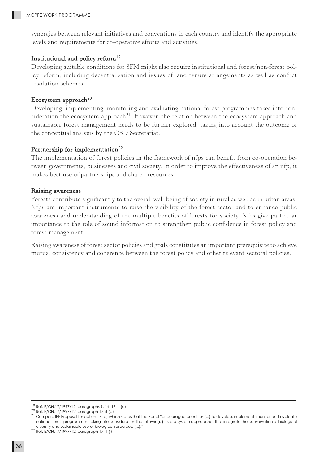synergies between relevant initiatives and conventions in each country and identify the appropriate levels and requirements for co-operative efforts and activities.

#### Institutional and policy reform<sup>19</sup>

Developing suitable conditions for SFM might also require institutional and forest/non-forest policy reform, including decentralisation and issues of land tenure arrangements as well as conflict resolution schemes.

#### Ecosystem approach<sup>20</sup>

Developing, implementing, monitoring and evaluating national forest programmes takes into consideration the ecosystem approach<sup>21</sup>. However, the relation between the ecosystem approach and sustainable forest management needs to be further explored, taking into account the outcome of the conceptual analysis by the CBD Secretariat.

#### Partnership for implementation<sup>22</sup>

The implementation of forest policies in the framework of nfps can benefit from co-operation between governments, businesses and civil society. In order to improve the effectiveness of an nfp, it makes best use of partnerships and shared resources.

#### Raising awareness

Forests contribute significantly to the overall well-being of society in rural as well as in urban areas. Nfps are important instruments to raise the visibility of the forest sector and to enhance public awareness and understanding of the multiple benefits of forests for society. Nfps give particular importance to the role of sound information to strengthen public confidence in forest policy and forest management.

Raising awareness of forest sector policies and goals constitutes an important prerequisite to achieve mutual consistency and coherence between the forest policy and other relevant sectoral policies.

<sup>&</sup>lt;sup>19</sup> Ref. E/CN.17/1997/12, paragraphs 9, 14, 17 lit.(a)<br><sup>20</sup> Ref. E/CN.17/1997/12, paragraph 17 lit.(a)

<sup>&</sup>lt;sup>21</sup> Compare IPF Proposal for action 17 (a) which states that the Panel "encouraged countries (...) to develop, implement, monitor and evaluate national forest programmes, taking into consideration the following: (...), ecosystem approaches that integrate the conservation of biological diversity and sustainable use of biological resources; (...)."

<sup>22</sup> Ref. E/CN.17/1997/12, paragraph 17 lit.(i)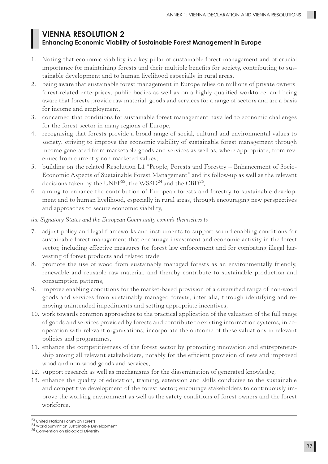#### **VIENNA RESOLUTION 2 Enhancing Economic Viability of Sustainable Forest Management in Europe**

- 1. Noting that economic viability is a key pillar of sustainable forest management and of crucial importance for maintaining forests and their multiple benefits for society, contributing to sustainable development and to human livelihood especially in rural areas,
- 2. being aware that sustainable forest management in Europe relies on millions of private owners, forest-related enterprises, public bodies as well as on a highly qualified workforce, and being aware that forests provide raw material, goods and services for a range of sectors and are a basis for income and employment,
- 3. concerned that conditions for sustainable forest management have led to economic challenges for the forest sector in many regions of Europe,
- 4. recognising that forests provide a broad range of social, cultural and environmental values to society, striving to improve the economic viability of sustainable forest management through income generated from marketable goods and services as well as, where appropriate, from revenues from currently non-marketed values,
- 5. building on the related Resolution L1 "People, Forests and Forestry Enhancement of Socio-Economic Aspects of Sustainable Forest Management" and its follow-up as well as the relevant decisions taken by the UNFF<sup>23</sup>, the WSSD<sup>24</sup> and the CBD<sup>25</sup>,
- 6. aiming to enhance the contribution of European forests and forestry to sustainable development and to human livelihood, especially in rural areas, through encouraging new perspectives and approaches to secure economic viability,

#### *the Signatory States and the European Community commit themselves to*

- 7. adjust policy and legal frameworks and instruments to support sound enabling conditions for sustainable forest management that encourage investment and economic activity in the forest sector, including effective measures for forest law enforcement and for combating illegal harvesting of forest products and related trade,
- 8. promote the use of wood from sustainably managed forests as an environmentally friendly, renewable and reusable raw material, and thereby contribute to sustainable production and consumption patterns,
- 9. improve enabling conditions for the market-based provision of a diversified range of non-wood goods and services from sustainably managed forests, inter alia, through identifying and removing unintended impediments and setting appropriate incentives,
- 10. work towards common approaches to the practical application of the valuation of the full range of goods and services provided by forests and contribute to existing information systems, in cooperation with relevant organisations; incorporate the outcome of these valuations in relevant policies and programmes,
- 11. enhance the competitiveness of the forest sector by promoting innovation and entrepreneurship among all relevant stakeholders, notably for the efficient provision of new and improved wood and non-wood goods and services,
- 12. support research as well as mechanisms for the dissemination of generated knowledge,
- 13. enhance the quality of education, training, extension and skills conducive to the sustainable and competitive development of the forest sector; encourage stakeholders to continuously improve the working environment as well as the safety conditions of forest owners and the forest workforce,

 $^{23}$  United Nations Forum on Forests  $^{24}$  World Summit on Sustainable Development

<sup>25</sup> Convention on Biological Diversity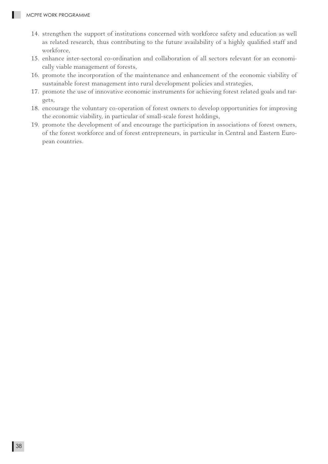- 14. strengthen the support of institutions concerned with workforce safety and education as well as related research, thus contributing to the future availability of a highly qualified staff and workforce,
- 15. enhance inter-sectoral co-ordination and collaboration of all sectors relevant for an economically viable management of forests,
- 16. promote the incorporation of the maintenance and enhancement of the economic viability of sustainable forest management into rural development policies and strategies,
- 17. promote the use of innovative economic instruments for achieving forest related goals and targets,
- 18. encourage the voluntary co-operation of forest owners to develop opportunities for improving the economic viability, in particular of small-scale forest holdings,
- 19. promote the development of and encourage the participation in associations of forest owners, of the forest workforce and of forest entrepreneurs, in particular in Central and Eastern European countries.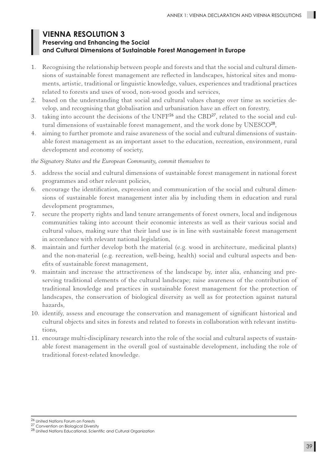### **VIENNA RESOLUTION 3 Preserving and Enhancing the Social and Cultural Dimensions of Sustainable Forest Management in Europe**

- 1. Recognising the relationship between people and forests and that the social and cultural dimensions of sustainable forest management are reflected in landscapes, historical sites and monuments, artistic, traditional or linguistic knowledge, values, experiences and traditional practices related to forests and uses of wood, non-wood goods and services,
- 2. based on the understanding that social and cultural values change over time as societies develop, and recognising that globalisation and urbanisation have an effect on forestry,
- 3. taking into account the decisions of the UNFF26 and the CBD27, related to the social and cultural dimensions of sustainable forest management, and the work done by UNESCO<sup>28</sup>,
- 4. aiming to further promote and raise awareness of the social and cultural dimensions of sustainable forest management as an important asset to the education, recreation, environment, rural development and economy of society,

*the Signatory States and the European Community, commit themselves to*

- 5. address the social and cultural dimensions of sustainable forest management in national forest programmes and other relevant policies,
- 6. encourage the identification, expression and communication of the social and cultural dimensions of sustainable forest management inter alia by including them in education and rural development programmes,
- 7. secure the property rights and land tenure arrangements of forest owners, local and indigenous communities taking into account their economic interests as well as their various social and cultural values, making sure that their land use is in line with sustainable forest management in accordance with relevant national legislation,
- 8. maintain and further develop both the material (e.g. wood in architecture, medicinal plants) and the non-material (e.g. recreation, well-being, health) social and cultural aspects and benefits of sustainable forest management,
- 9. maintain and increase the attractiveness of the landscape by, inter alia, enhancing and preserving traditional elements of the cultural landscape; raise awareness of the contribution of traditional knowledge and practices in sustainable forest management for the protection of landscapes, the conservation of biological diversity as well as for protection against natural hazards,
- 10. identify, assess and encourage the conservation and management of significant historical and cultural objects and sites in forests and related to forests in collaboration with relevant institutions,
- 11. encourage multi-disciplinary research into the role of the social and cultural aspects of sustainable forest management in the overall goal of sustainable development, including the role of traditional forest-related knowledge.

26 United Nations Forum on Forests

27 Convention on Biological Diversity

<sup>28</sup> United Nations Educational, Scientific and Cultural Organization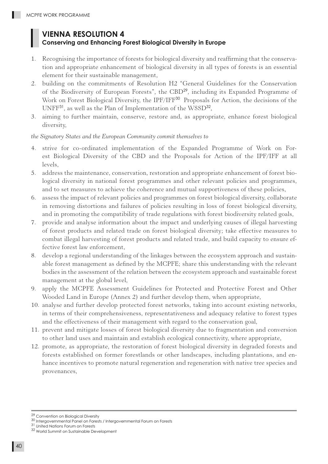## **VIENNA RESOLUTION 4 Conserving and Enhancing Forest Biological Diversity in Europe**

- 1. Recognising the importance of forests for biological diversity and reaffirming that the conservation and appropriate enhancement of biological diversity in all types of forests is an essential element for their sustainable management,
- 2. building on the commitments of Resolution H2 "General Guidelines for the Conservation of the Biodiversity of European Forests", the CBD<sup>29</sup>, including its Expanded Programme of Work on Forest Biological Diversity, the IPF/IFF<sup>30</sup> Proposals for Action, the decisions of the UNFF<sup>31</sup>, as well as the Plan of Implementation of the WSSD<sup>32</sup>,
- 3. aiming to further maintain, conserve, restore and, as appropriate, enhance forest biological diversity,

*the Signatory States and the European Community commit themselves to* 

- 4. strive for co-ordinated implementation of the Expanded Programme of Work on Forest Biological Diversity of the CBD and the Proposals for Action of the IPF/IFF at all levels,
- 5. address the maintenance, conservation, restoration and appropriate enhancement of forest biological diversity in national forest programmes and other relevant policies and programmes, and to set measures to achieve the coherence and mutual supportiveness of these policies,
- 6. assess the impact of relevant policies and programmes on forest biological diversity, collaborate in removing distortions and failures of policies resulting in loss of forest biological diversity, and in promoting the compatibility of trade regulations with forest biodiversity related goals,
- 7. provide and analyse information about the impact and underlying causes of illegal harvesting of forest products and related trade on forest biological diversity; take effective measures to combat illegal harvesting of forest products and related trade, and build capacity to ensure effective forest law enforcement,
- 8. develop a regional understanding of the linkages between the ecosystem approach and sustainable forest management as defined by the MCPFE; share this understanding with the relevant bodies in the assessment of the relation between the ecosystem approach and sustainable forest management at the global level,
- 9. apply the MCPFE Assessment Guidelines for Protected and Protective Forest and Other Wooded Land in Europe (Annex 2) and further develop them, when appropriate,
- 10. analyse and further develop protected forest networks, taking into account existing networks, in terms of their comprehensiveness, representativeness and adequacy relative to forest types and the effectiveness of their management with regard to the conservation goal,
- 11. prevent and mitigate losses of forest biological diversity due to fragmentation and conversion to other land uses and maintain and establish ecological connectivity, where appropriate,
- 12. promote, as appropriate, the restoration of forest biological diversity in degraded forests and forests established on former forestlands or other landscapes, including plantations, and enhance incentives to promote natural regeneration and regeneration with native tree species and provenances,

<sup>29</sup> Convention on Biological Diversity

<sup>30</sup> Intergovernmental Panel on Forests / Intergovernmental Forum on Forests

<sup>31</sup> United Nations Forum on Forests

<sup>32</sup> World Summit on Sustainable Development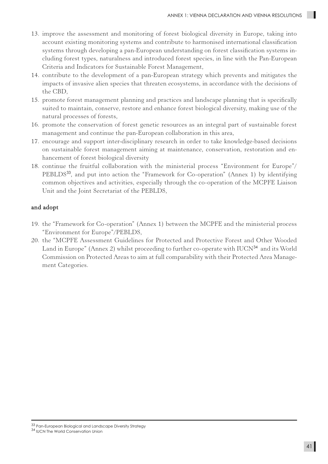- 13. improve the assessment and monitoring of forest biological diversity in Europe, taking into account existing monitoring systems and contribute to harmonised international classification systems through developing a pan-European understanding on forest classification systems including forest types, naturalness and introduced forest species, in line with the Pan-European Criteria and Indicators for Sustainable Forest Management,
- 14. contribute to the development of a pan-European strategy which prevents and mitigates the impacts of invasive alien species that threaten ecosystems, in accordance with the decisions of the CBD,
- 15. promote forest management planning and practices and landscape planning that is specifically suited to maintain, conserve, restore and enhance forest biological diversity, making use of the natural processes of forests,
- 16. promote the conservation of forest genetic resources as an integral part of sustainable forest management and continue the pan-European collaboration in this area,
- 17. encourage and support inter-disciplinary research in order to take knowledge-based decisions on sustainable forest management aiming at maintenance, conservation, restoration and enhancement of forest biological diversity
- 18. continue the fruitful collaboration with the ministerial process "Environment for Europe"/ PEBLDS<sup>33</sup>, and put into action the "Framework for Co-operation" (Annex 1) by identifying common objectives and activities, especially through the co-operation of the MCPFE Liaison Unit and the Joint Secretariat of the PEBLDS,

#### and adopt

- 19. the "Framework for Co-operation" (Annex 1) between the MCPFE and the ministerial process "Environment for Europe"/PEBLDS,
- 20. the "MCPFE Assessment Guidelines for Protected and Protective Forest and Other Wooded Land in Europe" (Annex 2) whilst proceeding to further co-operate with IUCN<sup>34</sup> and its World Commission on Protected Areas to aim at full comparability with their Protected Area Management Categories.

<sup>33</sup> Pan-European Biological and Landscape Diversity Strategy 34 IUCN The World Conservation Union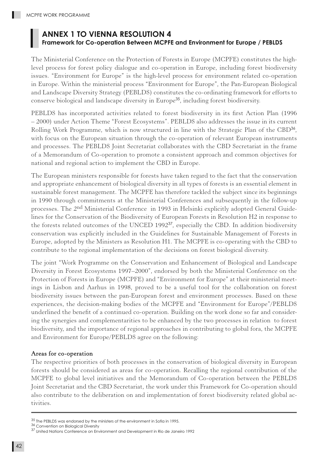### **ANNEX 1 TO VIENNA RESOLUTION 4 Framework for Co-operation Between MCPFE and Environment for Europe / PEBLDS**

The Ministerial Conference on the Protection of Forests in Europe (MCPFE) constitutes the highlevel process for forest policy dialogue and co-operation in Europe, including forest biodiversity issues. "Environment for Europe" is the high-level process for environment related co-operation in Europe. Within the ministerial process "Environment for Europe", the Pan-European Biological and Landscape Diversity Strategy (PEBLDS) constitutes the co-ordinating framework for efforts to conserve biological and landscape diversity in Europe<sup>35</sup>, including forest biodiversity.

PEBLDS has incorporated activities related to forest biodiversity in its first Action Plan (1996 – 2000) under Action Theme "Forest Ecosystems". PEBLDS also addresses the issue in its current Rolling Work Programme, which is now structured in line with the Strategic Plan of the CBD<sup>36</sup>, with focus on the European situation through the co-operation of relevant European instruments and processes. The PEBLDS Joint Secretariat collaborates with the CBD Secretariat in the frame of a Memorandum of Co-operation to promote a consistent approach and common objectives for national and regional action to implement the CBD in Europe.

The European ministers responsible for forests have taken regard to the fact that the conservation and appropriate enhancement of biological diversity in all types of forests is an essential element in sustainable forest management. The MCPFE has therefore tackled the subject since its beginnings in 1990 through commitments at the Ministerial Conferences and subsequently in the follow-up processes. The 2nd Ministerial Conference in 1993 in Helsinki explicitly adopted General Guidelines for the Conservation of the Biodiversity of European Forests in Resolution H2 in response to the forests related outcomes of the UNCED 1992<sup>37</sup>, especially the CBD. In addition biodiversity conservation was explicitly included in the Guidelines for Sustainable Management of Forests in Europe, adopted by the Ministers as Resolution H1. The MCPFE is co-operating with the CBD to contribute to the regional implementation of the decisions on forest biological diversity.

The joint "Work Programme on the Conservation and Enhancement of Biological and Landscape Diversity in Forest Ecosystems 1997–2000", endorsed by both the Ministerial Conference on the Protection of Forests in Europe (MCPFE) and "Environment for Europe" at their ministerial meetings in Lisbon and Aarhus in 1998, proved to be a useful tool for the collaboration on forest biodiversity issues between the pan-European forest and environment processes. Based on these experiences, the decision-making bodies of the MCPFE and "Environment for Europe"/PEBLDS underlined the benefit of a continued co-operation. Building on the work done so far and considering the synergies and complementarities to be enhanced by the two processes in relation to forest biodiversity, and the importance of regional approaches in contributing to global fora, the MCPFE and Environment for Europe/PEBLDS agree on the following:

#### Areas for co-operation

The respective priorities of both processes in the conservation of biological diversity in European forests should be considered as areas for co-operation. Recalling the regional contribution of the MCPFE to global level initiatives and the Memorandum of Co-operation between the PEBLDS Joint Secretariat and the CBD Secretariat, the work under this Framework for Co-operation should also contribute to the deliberation on and implementation of forest biodiversity related global activities.

<sup>35</sup> The PEBLDS was endorsed by the ministers of the environment in Sofia in 1995.

<sup>36</sup> Convention on Biological Diversity

<sup>37</sup> United Nations Conference on Environment and Development in Rio de Janeiro 1992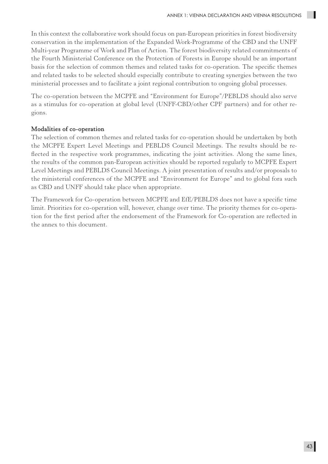In this context the collaborative work should focus on pan-European priorities in forest biodiversity conservation in the implementation of the Expanded Work-Programme of the CBD and the UNFF Multi-year Programme of Work and Plan of Action. The forest biodiversity related commitments of the Fourth Ministerial Conference on the Protection of Forests in Europe should be an important basis for the selection of common themes and related tasks for co-operation. The specific themes and related tasks to be selected should especially contribute to creating synergies between the two ministerial processes and to facilitate a joint regional contribution to ongoing global processes.

The co-operation between the MCPFE and "Environment for Europe"/PEBLDS should also serve as a stimulus for co-operation at global level (UNFF-CBD/other CPF partners) and for other regions.

#### Modalities of co-operation

The selection of common themes and related tasks for co-operation should be undertaken by both the MCPFE Expert Level Meetings and PEBLDS Council Meetings. The results should be reflected in the respective work programmes, indicating the joint activities. Along the same lines, the results of the common pan-European activities should be reported regularly to MCPFE Expert Level Meetings and PEBLDS Council Meetings. A joint presentation of results and/or proposals to the ministerial conferences of the MCPFE and "Environment for Europe" and to global fora such as CBD and UNFF should take place when appropriate.

The Framework for Co-operation between MCPFE and EfE/PEBLDS does not have a specific time limit. Priorities for co-operation will, however, change over time. The priority themes for co-operation for the first period after the endorsement of the Framework for Co-operation are reflected in the annex to this document.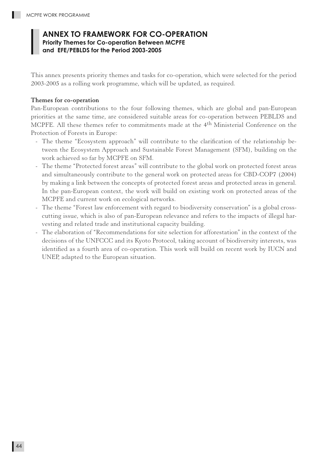### **ANNEX TO FRAMEWORK FOR CO-OPERATION Priority Themes for Co-operation Between MCPFE and EFE/PEBLDS for the Period 2003-2005**

This annex presents priority themes and tasks for co-operation, which were selected for the period 2003-2005 as a rolling work programme, which will be updated, as required.

#### Themes for co-operation

Pan-European contributions to the four following themes, which are global and pan-European priorities at the same time, are considered suitable areas for co-operation between PEBLDS and MCPFE. All these themes refer to commitments made at the 4th Ministerial Conference on the Protection of Forests in Europe:

- The theme "Ecosystem approach" will contribute to the clarification of the relationship between the Ecosystem Approach and Sustainable Forest Management (SFM), building on the work achieved so far by MCPFE on SFM.
- The theme "Protected forest areas" will contribute to the global work on protected forest areas and simultaneously contribute to the general work on protected areas for CBD-COP7 (2004) by making a link between the concepts of protected forest areas and protected areas in general. In the pan-European context, the work will build on existing work on protected areas of the MCPFE and current work on ecological networks.
- The theme "Forest law enforcement with regard to biodiversity conservation" is a global crosscutting issue, which is also of pan-European relevance and refers to the impacts of illegal harvesting and related trade and institutional capacity building.
- The elaboration of "Recommendations for site selection for afforestation" in the context of the decisions of the UNFCCC and its Kyoto Protocol, taking account of biodiversity interests, was identified as a fourth area of co-operation. This work will build on recent work by IUCN and UNEP, adapted to the European situation.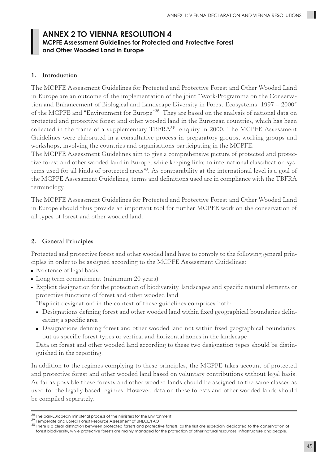### **ANNEX 2 TO VIENNA RESOLUTION 4 MCPFE Assessment Guidelines for Protected and Protective Forest and Other Wooded Land in Europe**

#### 1. Introduction

The MCPFE Assessment Guidelines for Protected and Protective Forest and Other Wooded Land in Europe are an outcome of the implementation of the joint "Work-Programme on the Conservation and Enhancement of Biological and Landscape Diversity in Forest Ecosystems 1997 – 2000" of the MCPFE and "Environment for Europe"<sup>38</sup>. They are based on the analysis of national data on protected and protective forest and other wooded land in the European countries, which has been collected in the frame of a supplementary TBFRA<sup>39</sup> enquiry in 2000. The MCPFE Assessment Guidelines were elaborated in a consultative process in preparatory groups, working groups and workshops, involving the countries and organisations participating in the MCPFE.

The MCPFE Assessment Guidelines aim to give a comprehensive picture of protected and protective forest and other wooded land in Europe, while keeping links to international classification systems used for all kinds of protected areas<sup>40</sup>. As comparability at the international level is a goal of the MCPFE Assessment Guidelines, terms and definitions used are in compliance with the TBFRA terminology.

The MCPFE Assessment Guidelines for Protected and Protective Forest and Other Wooded Land in Europe should thus provide an important tool for further MCPFE work on the conservation of all types of forest and other wooded land.

#### 2. General Principles

Protected and protective forest and other wooded land have to comply to the following general principles in order to be assigned according to the MCPFE Assessment Guidelines:

- **Existence of legal basis**
- Long term commitment (minimum 20 years)
- Explicit designation for the protection of biodiversity, landscapes and specific natural elements or protective functions of forest and other wooded land

"Explicit designation" in the context of these guidelines comprises both:

- Designations defining forest and other wooded land within fixed geographical boundaries delineating a specific area
- Designations defining forest and other wooded land not within fixed geographical boundaries, but as specific forest types or vertical and horizontal zones in the landscape

 Data on forest and other wooded land according to these two designation types should be distinguished in the reporting.

In addition to the regimes complying to these principles, the MCPFE takes account of protected and protective forest and other wooded land based on voluntary contributions without legal basis. As far as possible these forests and other wooded lands should be assigned to the same classes as used for the legally based regimes. However, data on these forests and other wooded lands should be compiled separately.

<sup>38</sup> The pan-European ministerial process of the ministers for the Environment

<sup>39</sup> Temperate and Boreal Forest Resource Assessment of UNECE/FAO

<sup>40</sup> There is a clear distinction between protected forests and protective forests, as the first are especially dedicated to the conservation of forest biodiversity, while protective forests are mainly managed for the protection of other natural resources, infrastructure and people.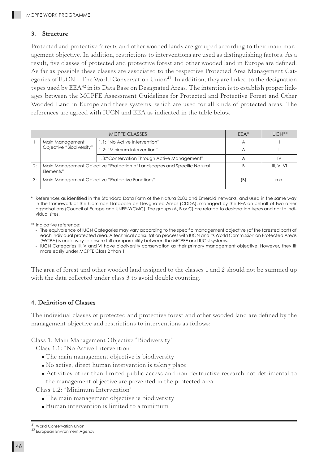#### 3. Structure

Protected and protective forests and other wooded lands are grouped according to their main management objective. In addition, restrictions to interventions are used as distinguishing factors. As a result, five classes of protected and protective forest and other wooded land in Europe are defined. As far as possible these classes are associated to the respective Protected Area Management Categories of IUCN – The World Conservation Union<sup>41</sup>. In addition, they are linked to the designation types used by EEA<sup>42</sup> in its Data Base on Designated Areas. The intention is to establish proper linkages between the MCPFE Assessment Guidelines for Protected and Protective Forest and Other Wooded Land in Europe and these systems, which are used for all kinds of protected areas. The references are agreed with IUCN and EEA as indicated in the table below.

|    |                                                                                       | $FFA*$                                        | $IUCN**$   |    |
|----|---------------------------------------------------------------------------------------|-----------------------------------------------|------------|----|
|    | Main Management                                                                       | 1.1: "No Active Intervention"                 | A          |    |
|    | Objective "Biodiversity"                                                              | 1.2: "Minimum Intervention"                   | Α          |    |
|    |                                                                                       | 1.3: "Conservation Through Active Management" |            | IV |
| 2: | Main Management Objective "Protection of Landscapes and Specific Natural<br>Elements" |                                               | III. V. VI |    |
| 3: | Main Management Objective "Protective Functions"                                      | (B)                                           | n.a.       |    |

References as identified in the Standard Data Form of the Natura 2000 and Emerald networks, and used in the same way in the framework of the Common Database on Designated Areas (CDDA), managed by the EEA on behalf of two other organisations (Council of Europe and UNEP-WCMC). The groups (A, B or C) are related to designation types and not to individual sites.

\*\* Indicative reference:

- The equivalence of IUCN Categories may vary according to the specific management objective (of the forested part) of each individual protected area. A technical consultation process with IUCN and its World Commission on Protected Areas (WCPA) is underway to ensure full comparability between the MCPFE and IUCN systems.
- IUCN Categories III, V and VI have biodiversity conservation as their primary management objective. However, they fit more easily under MCPFE Class 2 than 1

The area of forest and other wooded land assigned to the classes 1 and 2 should not be summed up with the data collected under class 3 to avoid double counting.

#### 4. Definition of Classes

The individual classes of protected and protective forest and other wooded land are defined by the management objective and restrictions to interventions as follows:

Class 1: Main Management Objective "Biodiversity"

Class 1.1: "No Active Intervention"

- The main management objective is biodiversity
- No active, direct human intervention is taking place
- Activities other than limited public access and non-destructive research not detrimental to the management objective are prevented in the protected area

Class 1.2: "Minimum Intervention"

- The main management objective is biodiversity
- Human intervention is limited to a minimum

<sup>41</sup> World Conservation Union 42 European Environment Agency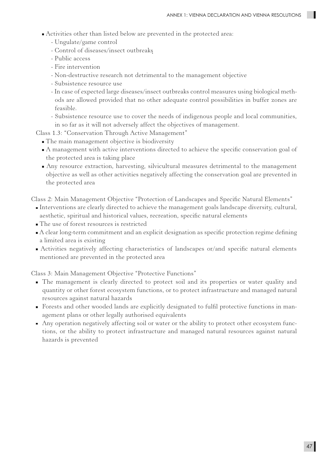- Activities other than listed below are prevented in the protected area:
	- Ungulate/game control
	- Control of diseases/insect outbreaks
	- Public access
	- Fire intervention
	- Non-destructive research not detrimental to the management objective
	- Subsistence resource use
	- In case of expected large diseases/insect outbreaks control measures using biological methods are allowed provided that no other adequate control possibilities in buffer zones are feasible.
	- Subsistence resource use to cover the needs of indigenous people and local communities, in so far as it will not adversely affect the objectives of management.

Class 1.3: "Conservation Through Active Management"

- The main management objective is biodiversity
- A management with active interventions directed to achieve the specific conservation goal of the protected area is taking place
- Any resource extraction, harvesting, silvicultural measures detrimental to the management objective as well as other activities negatively affecting the conservation goal are prevented in the protected area

Class 2: Main Management Objective "Protection of Landscapes and Specific Natural Elements"

- Interventions are clearly directed to achieve the management goals landscape diversity, cultural, aesthetic, spiritual and historical values, recreation, specific natural elements
- The use of forest resources is restricted
- A clear long-term commitment and an explicit designation as specific protection regime defining a limited area is existing
- Activities negatively affecting characteristics of landscapes or/and specific natural elements mentioned are prevented in the protected area

Class 3: Main Management Objective "Protective Functions"

- The management is clearly directed to protect soil and its properties or water quality and quantity or other forest ecosystem functions, or to protect infrastructure and managed natural resources against natural hazards
- Forests and other wooded lands are explicitly designated to fulfil protective functions in management plans or other legally authorised equivalents
- Any operation negatively affecting soil or water or the ability to protect other ecosystem functions, or the ability to protect infrastructure and managed natural resources against natural hazards is prevented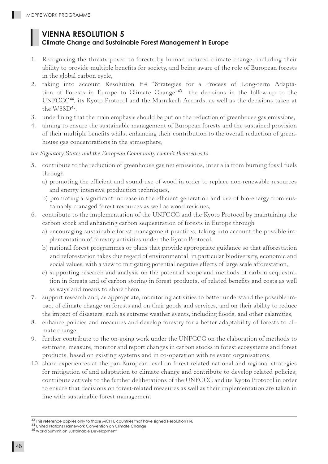## **VIENNA RESOLUTION 5**

#### **Climate Change and Sustainable Forest Management in Europe**

- 1. Recognising the threats posed to forests by human induced climate change, including their ability to provide multiple benefits for society, and being aware of the role of European forests in the global carbon cycle,
- 2. taking into account Resolution H4 "Strategies for a Process of Long-term Adaptation of Forests in Europe to Climate Change"<sup>43</sup> the decisions in the follow-up to the UNFCCC<sup>44</sup>, its Kyoto Protocol and the Marrakech Accords, as well as the decisions taken at the WSSD<sup>45</sup>.
- 3. underlining that the main emphasis should be put on the reduction of greenhouse gas emissions,
- 4. aiming to ensure the sustainable management of European forests and the sustained provision of their multiple benefits whilst enhancing their contribution to the overall reduction of greenhouse gas concentrations in the atmosphere,

*the Signatory States and the European Community commit themselves to*

- 5. contribute to the reduction of greenhouse gas net emissions, inter alia from burning fossil fuels through
	- a) promoting the efficient and sound use of wood in order to replace non-renewable resources and energy intensive production techniques,
	- b) promoting a significant increase in the efficient generation and use of bio-energy from sustainably managed forest resources as well as wood residues,
- 6. contribute to the implementation of the UNFCCC and the Kyoto Protocol by maintaining the carbon stock and enhancing carbon sequestration of forests in Europe through
	- a) encouraging sustainable forest management practices, taking into account the possible implementation of forestry activities under the Kyoto Protocol,
	- b) national forest programmes or plans that provide appropriate guidance so that afforestation and reforestation takes due regard of environmental, in particular biodiversity, economic and social values, with a view to mitigating potential negative effects of large scale afforestation,
	- c) supporting research and analysis on the potential scope and methods of carbon sequestration in forests and of carbon storing in forest products, of related benefits and costs as well as ways and means to share them,
- 7. support research and, as appropriate, monitoring activities to better understand the possible impact of climate change on forests and on their goods and services, and on their ability to reduce the impact of disasters, such as extreme weather events, including floods, and other calamities,
- 8. enhance policies and measures and develop forestry for a better adaptability of forests to climate change,
- 9. further contribute to the on-going work under the UNFCCC on the elaboration of methods to estimate, measure, monitor and report changes in carbon stocks in forest ecosystems and forest products, based on existing systems and in co-operation with relevant organisations,
- 10. share experiences at the pan-European level on forest-related national and regional strategies for mitigation of and adaptation to climate change and contribute to develop related policies; contribute actively to the further deliberations of the UNFCCC and its Kyoto Protocol in order to ensure that decisions on forest-related measures as well as their implementation are taken in line with sustainable forest management

<sup>43</sup> This reference applies only to those MCPFE countries that have signed Resolution H4.<br><sup>44</sup> United Nations Framework Convention on Climate Change

<sup>45</sup> World Summit on Sustainable Development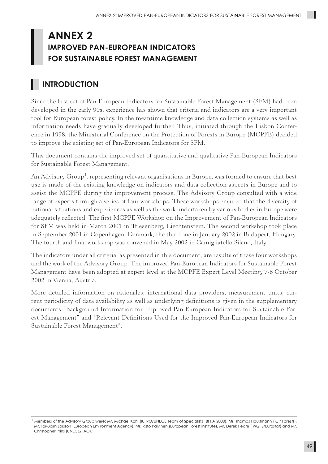## **ANNEX 2 IMPROVED PAN-EUROPEAN INDICATORS FOR SUSTAINABLE FOREST MANAGEMENT**

## **INTRODUCTION**

Since the first set of Pan-European Indicators for Sustainable Forest Management (SFM) had been developed in the early 90s, experience has shown that criteria and indicators are a very important tool for European forest policy. In the meantime knowledge and data collection systems as well as information needs have gradually developed further. Thus, initiated through the Lisbon Conference in 1998, the Ministerial Conference on the Protection of Forests in Europe (MCPFE) decided to improve the existing set of Pan-European Indicators for SFM.

This document contains the improved set of quantitative and qualitative Pan-European Indicators for Sustainable Forest Management.

An Advisory Group<sup>1</sup>, representing relevant organisations in Europe, was formed to ensure that best use is made of the existing knowledge on indicators and data collection aspects in Europe and to assist the MCPFE during the improvement process. The Advisory Group consulted with a wide range of experts through a series of four workshops. These workshops ensured that the diversity of national situations and experiences as well as the work undertaken by various bodies in Europe were adequately reflected. The first MCPFE Workshop on the Improvement of Pan-European Indicators for SFM was held in March 2001 in Triesenberg, Liechtenstein. The second workshop took place in September 2001 in Copenhagen, Denmark, the third one in January 2002 in Budapest, Hungary. The fourth and final workshop was convened in May 2002 in Camigliatello Silano, Italy.

The indicators under all criteria, as presented in this document, are results of these four workshops and the work of the Advisory Group. The improved Pan-European Indicators for Sustainable Forest Management have been adopted at expert level at the MCPFE Expert Level Meeting, 7-8 October 2002 in Vienna, Austria.

More detailed information on rationales, international data providers, measurement units, current periodicity of data availability as well as underlying definitions is given in the supplementary documents "Background Information for Improved Pan-European Indicators for Sustainable Forest Management" and "Relevant Definitions Used for the Improved Pan-European Indicators for Sustainable Forest Management".

 $^1$  Members of the Advisory Group were: Mr. Michael Köhl (IUFRO/UNECE Team of Specialists TBFRA 2000), Mr. Thomas Haußmann (ICP Forests), Mr. Tor-Björn Larsson (European Environment Agency), Mr. Risto Päivinen (European Forest Institute), Mr. Derek Peare (IWGFS/Eurostat) and Mr. Christopher Prins (UNECE/FAO).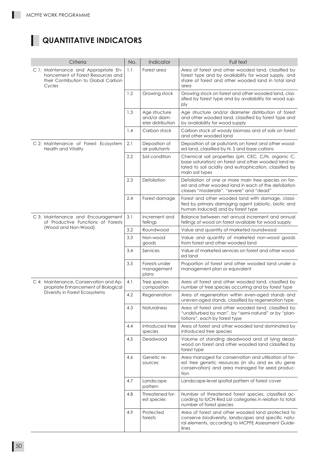.

## **QUANTITATIVE INDICATORS**

| Criteria                                                                                                                   |     | Indicator                                          | Full text                                                                                                                                                                                |
|----------------------------------------------------------------------------------------------------------------------------|-----|----------------------------------------------------|------------------------------------------------------------------------------------------------------------------------------------------------------------------------------------------|
| C 1: Maintenance and Appropriate En-<br>hancement of Forest Resources and<br>their Contribution to Global Carbon<br>Cycles | 1.1 | Forest area                                        | Area of forest and other wooded land, classified by<br>forest type and by availability for wood supply, and<br>share of forest and other wooded land in total land<br>area               |
|                                                                                                                            | 1.2 | Growing stock                                      | Growing stock on forest and other wooded land, clas-<br>sified by forest type and by availability for wood sup-<br>ply                                                                   |
|                                                                                                                            | 1.3 | Age structure<br>and/or diam-<br>eter distribution | Age structure and/or diameter distribution of forest<br>and other wooded land, classified by forest type and<br>by availability for wood supply                                          |
|                                                                                                                            | 1.4 | Carbon stock                                       | Carbon stock of woody biomass and of soils on forest<br>and other wooded land                                                                                                            |
| C 2: Maintenance of Forest Ecosystem<br><b>Health and Vitality</b>                                                         | 2.1 | Deposition of<br>air pollutants                    | Deposition of air pollutants on forest and other wood-<br>ed land, classified by N, S and base cations                                                                                   |
|                                                                                                                            | 2.2 | Soil condition                                     | Chemical soil properties (pH, CEC, C/N, organic C,<br>base saturation) on forest and other wooded land re-<br>lated to soil acidity and eutrophication, classified by<br>main soil types |
|                                                                                                                            | 2.3 | Defoliation                                        | Defoliation of one or more main tree species on for-<br>est and other wooded land in each of the defoliation<br>classes "moderate", "severe" and "dead"                                  |
|                                                                                                                            | 2.4 | Forest damage                                      | Forest and other wooded land with damage, classi-<br>fied by primary damaging agent (abiotic, biotic and<br>human induced) and by forest type                                            |
| C 3: Maintenance and Encouragement<br>of Productive Functions of Forests                                                   | 3.1 | Increment and<br>fellings                          | Balance between net annual increment and annual<br>fellings of wood on forest available for wood supply                                                                                  |
| (Wood and Non-Wood)                                                                                                        | 3.2 | Roundwood                                          | Value and quantity of marketed roundwood                                                                                                                                                 |
|                                                                                                                            | 3.3 | Non-wood<br>goods                                  | Value and quantity of marketed non-wood goods<br>from forest and other wooded land                                                                                                       |
|                                                                                                                            | 3.4 | Services                                           | Value of marketed services on forest and other wood-<br>ed land                                                                                                                          |
|                                                                                                                            | 3.5 | Forests under<br>management<br>plans               | Proportion of forest and other wooded land under a<br>management plan or equivalent                                                                                                      |
| C 4: Maintenance, Conservation and Ap-<br>propriate Enhancement of Biological                                              | 4.1 | Tree species<br>composition                        | Area of forest and other wooded land, classified by<br>number of tree species occurring and by forest type                                                                               |
| Diversity in Forest Ecosystems                                                                                             | 4.2 | Regeneration                                       | Area of regeneration within even-aged stands and<br>uneven-aged stands, classified by regeneration type                                                                                  |
|                                                                                                                            | 4.3 | Naturalness                                        | Area of forest and other wooded land, classified by<br>"undisturbed by man", by "semi-natural" or by "plan-<br>tations", each by forest type                                             |
|                                                                                                                            | 4.4 | Introduced tree<br>species                         | Area of forest and other wooded land dominated by<br>introduced tree species                                                                                                             |
|                                                                                                                            | 4.5 | Deadwood                                           | Volume of standing deadwood and of lying dead-<br>wood on forest and other wooded land classified by<br>forest type                                                                      |
|                                                                                                                            | 4.6 | Genetic re-<br>sources                             | Area managed for conservation and utilisation of for-<br>est tree genetic resources (in situ and ex situ gene<br>conservation) and area managed for seed produc-<br>tion                 |
|                                                                                                                            | 4.7 | Landscape<br>pattern                               | Landscape-level spatial pattern of forest cover                                                                                                                                          |
|                                                                                                                            | 4.8 | Threatened for-<br>est species                     | Number of threatened forest species, classified ac-<br>cording to IUCN Red List categories in relation to total<br>number of forest species                                              |
|                                                                                                                            | 4.9 | Protected<br>forests                               | Area of forest and other wooded land protected to<br>conserve biodiversity, landscapes and specific natu-<br>ral elements, according to MCPFE Assessment Guide-<br>lines                 |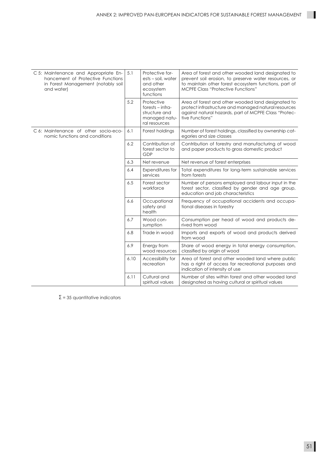| C 5: Maintenance and Appropriate En-<br>hancement of Protective Functions<br>in Forest Management (notably soil<br>and water) |      | Protective for-<br>ests – soil, water<br>and other<br>ecosystem<br>functions        | Area of forest and other wooded land designated to<br>prevent soil erosion, to preserve water resources, or<br>to maintain other forest ecosystem functions, part of<br><b>MCPFE Class "Protective Functions"</b> |  |  |
|-------------------------------------------------------------------------------------------------------------------------------|------|-------------------------------------------------------------------------------------|-------------------------------------------------------------------------------------------------------------------------------------------------------------------------------------------------------------------|--|--|
|                                                                                                                               | 5.2  | Protective<br>$forests - infra-$<br>structure and<br>managed natu-<br>ral resources | Area of forest and other wooded land designated to<br>protect infrastructure and managed natural resources<br>against natural hazards, part of MCPFE Class "Protec-<br>tive Functions"                            |  |  |
| C 6: Maintenance of other socio-eco-<br>nomic functions and conditions                                                        | 6.1  | Forest holdings                                                                     | Number of forest holdings, classified by ownership cat-<br>egories and size classes                                                                                                                               |  |  |
|                                                                                                                               |      | Contribution of<br>forest sector to<br>GDP                                          | Contribution of forestry and manufacturing of wood<br>and paper products to gross domestic product                                                                                                                |  |  |
|                                                                                                                               |      | Net revenue                                                                         | Net revenue of forest enterprises                                                                                                                                                                                 |  |  |
|                                                                                                                               | 6.4  | Expenditures for<br>services                                                        | Total expenditures for long-term sustainable services<br>from forests                                                                                                                                             |  |  |
|                                                                                                                               | 6.5  | Forest sector<br>workforce                                                          | Number of persons employed and labour input in the<br>forest sector, classified by gender and age group,<br>education and job characteristics                                                                     |  |  |
|                                                                                                                               | 6.6  | Occupational<br>safety and<br>health                                                | Frequency of occupational accidents and occupa-<br>tional diseases in forestry                                                                                                                                    |  |  |
|                                                                                                                               | 6.7  | Wood con-<br>sumption                                                               | Consumption per head of wood and products de-<br>rived from wood                                                                                                                                                  |  |  |
|                                                                                                                               | 6.8  | Trade in wood                                                                       | Imports and exports of wood and products derived<br>from wood                                                                                                                                                     |  |  |
|                                                                                                                               | 6.9  | Energy from<br>wood resources                                                       | Share of wood energy in total energy consumption,<br>classified by origin of wood                                                                                                                                 |  |  |
|                                                                                                                               | 6.10 | Accessibility for<br>recreation                                                     | Area of forest and other wooded land where public<br>has a right of access for recreational purposes and<br>indication of intensity of use                                                                        |  |  |
|                                                                                                                               | 6.11 | Cultural and<br>spiritual values                                                    | Number of sites within forest and other wooded land<br>designated as having cultural or spiritual values                                                                                                          |  |  |

 $\Sigma$  = 35 quantitative indicators

 $\blacksquare$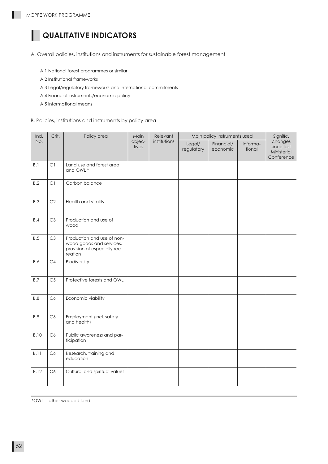ı

## **QUALITATIVE INDICATORS**

A. Overall policies, institutions and instruments for sustainable forest management

- A.1 National forest programmes or similar
- A.2 Institutional frameworks
- A.3 Legal/regulatory frameworks and international commitments
- A.4 Financial instruments/economic policy
- A.5 Informational means
- B. Policies, institutions and instruments by policy area

| Ind.        | Crit.          | Policy area                                                                                       | Main            | Relevant     | Main policy instruments used |                        |                    | Signific.                                          |
|-------------|----------------|---------------------------------------------------------------------------------------------------|-----------------|--------------|------------------------------|------------------------|--------------------|----------------------------------------------------|
| No.         |                |                                                                                                   | objec-<br>tives | institutions | Legal/<br>regulatory         | Financial/<br>economic | Informa-<br>tional | changes<br>since last<br>Ministerial<br>Conference |
| B.1         | C1             | Land use and forest area<br>and OWL *                                                             |                 |              |                              |                        |                    |                                                    |
| B.2         | C1             | Carbon balance                                                                                    |                 |              |                              |                        |                    |                                                    |
| <b>B.3</b>  | C2             | Health and vitality                                                                               |                 |              |                              |                        |                    |                                                    |
| B.4         | C3             | Production and use of<br>wood                                                                     |                 |              |                              |                        |                    |                                                    |
| B.5         | C3             | Production and use of non-<br>wood goods and services,<br>provision of especially rec-<br>reation |                 |              |                              |                        |                    |                                                    |
| <b>B.6</b>  | C <sub>4</sub> | Biodiversity                                                                                      |                 |              |                              |                        |                    |                                                    |
| B.7         | C <sub>5</sub> | Protective forests and OWL                                                                        |                 |              |                              |                        |                    |                                                    |
| <b>B.8</b>  | C6             | Economic viability                                                                                |                 |              |                              |                        |                    |                                                    |
| <b>B.9</b>  | C6             | Employment (incl. safety<br>and health)                                                           |                 |              |                              |                        |                    |                                                    |
| <b>B.10</b> | C6             | Public awareness and par-<br>ticipation                                                           |                 |              |                              |                        |                    |                                                    |
| <b>B.11</b> | C6             | Research, training and<br>education                                                               |                 |              |                              |                        |                    |                                                    |
| <b>B.12</b> | C6             | Cultural and spiritual values                                                                     |                 |              |                              |                        |                    |                                                    |

\*OWL = other wooded land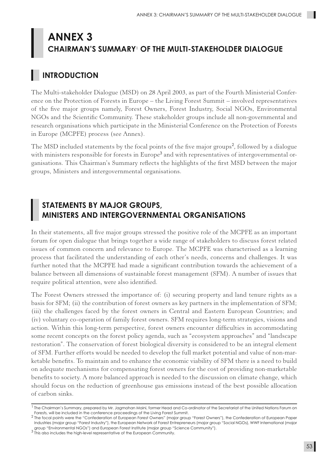## **ANNEX 3 CHAIRMAN'S SUMMARY**<sup>1</sup>  **OF THE MULTI-STAKEHOLDER DIALOGUE**

## **INTRODUCTION**

The Multi-stakeholder Dialogue (MSD) on 28 April 2003, as part of the Fourth Ministerial Conference on the Protection of Forests in Europe – the Living Forest Summit – involved representatives of the five major groups namely, Forest Owners, Forest Industry, Social NGOs, Environmental NGOs and the Scientific Community. These stakeholder groups include all non-governmental and research organisations which participate in the Ministerial Conference on the Protection of Forests in Europe (MCPFE) process (see Annex).

The MSD included statements by the focal points of the five major groups<sup>2</sup>, followed by a dialogue with ministers responsible for forests in Europe $^3$  and with representatives of intergovernmental organisations. This Chairman's Summary reflects the highlights of the first MSD between the major groups, Ministers and intergovernmental organisations.

## **STATEMENTS BY MAJOR GROUPS, MINISTERS AND INTERGOVERNMENTAL ORGANISATIONS**

In their statements, all five major groups stressed the positive role of the MCPFE as an important forum for open dialogue that brings together a wide range of stakeholders to discuss forest related issues of common concern and relevance to Europe. The MCPFE was characterised as a learning process that facilitated the understanding of each other's needs, concerns and challenges. It was further noted that the MCPFE had made a significant contribution towards the achievement of a balance between all dimensions of sustainable forest management (SFM). A number of issues that require political attention, were also identified.

The Forest Owners stressed the importance of: (i) securing property and land tenure rights as a basis for SFM; (ii) the contribution of forest owners as key partners in the implementation of SFM; (iii) the challenges faced by the forest owners in Central and Eastern European Countries; and (iv) voluntary co-operation of family forest owners. SFM requires long-term strategies, visions and action. Within this long-term perspective, forest owners encounter difficulties in accommodating some recent concepts on the forest policy agenda, such as "ecosystem approaches" and "landscape restoration". The conservation of forest biological diversity is considered to be an integral element of SFM. Further efforts would be needed to develop the full market potential and value of non-marketable benefits. To maintain and to enhance the economic viability of SFM there is a need to build on adequate mechanisms for compensating forest owners for the cost of providing non-marketable benefits to society. A more balanced approach is needed to the discussion on climate change, which should focus on the reduction of greenhouse gas emissions instead of the best possible allocation of carbon sinks.

<sup>&</sup>lt;sup>1</sup> The Chairman's Summary, prepared by Mr. Jagmohan Maini, former Head and Co-ordinator of the Secretariat of the United Nations Forum on Forests, will be included in the conference proceedings of the Living Forest Summit.

<sup>2</sup> The focal points were the "Confederation of European Forest Owners" (major group "Forest Owners"), the Confederation of European Paper Industries (major group "Forest Industry"), the European Network of Forest Entrepreneurs (major group "Social NGOs), WWF International (major group "Environmental NGOs") and European Forest Institute (major group "Science Community").

<sup>3</sup> This also includes the high-level representative of the European Community.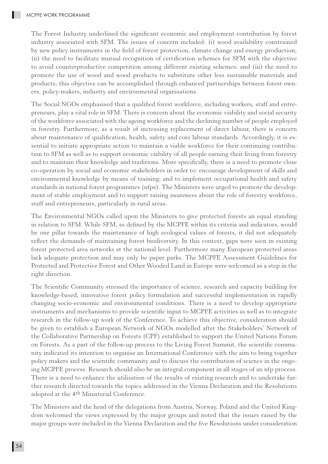The Forest Industry underlined the significant economic and employment contribution by forest industry associated with SFM. The issues of concern included: (i) wood availability constrained by new policy instruments in the field of forest protection, climate change and energy production; (ii) the need to facilitate mutual recognition of certification schemes for SFM with the objective to avoid counterproductive competition among different existing schemes; and (iii) the need to promote the use of wood and wood products to substitute other less sustainable materials and products; this objective can be accomplished through enhanced partnerships between forest owners, policy-makers, industry and environmental organisations.

The Social NGOs emphasised that a qualified forest workforce, including workers, staff and entrepreneurs, play a vital role in SFM. There is concern about the economic viability and social security of the workforce associated with the ageing workforce and the declining number of people employed in forestry. Furthermore, as a result of increasing replacement of direct labour, there is concern about maintenance of qualification, health, safety and core labour standards. Accordingly, it is essential to initiate appropriate action to maintain a viable workforce for their continuing contribution to SFM as well as to support economic viability of all people earning their living from forestry and to maintain their knowledge and traditions. More specifically, there is a need to promote close co-operation by social and economic stakeholders in order to: encourage development of skills and environmental knowledge by means of training; and to implement occupational health and safety standards in national forest programmes (nfps). The Ministers were urged to promote the development of stable employment and to support raising awareness about the role of forestry workforce, staff and entrepreneurs, particularly in rural areas.

The Environmental NGOs called upon the Ministers to give protected forests an equal standing in relation to SFM. While SFM, as defined by the MCPFE within its criteria and indicators, would be one pillar towards the maintenance of high ecological values of forests, it did not adequately reflect the demands of maintaining forest biodiversity. In this context, gaps were seen in existing forest protected area networks at the national level. Furthermore many European protected areas lack adequate protection and may only be paper parks. The MCPFE Assessment Guidelines for Protected and Protective Forest and Other Wooded Land in Europe were welcomed as a step in the right direction.

The Scientific Community stressed the importance of science, research and capacity building for knowledge-based, innovative forest policy formulation and successful implementation in rapidly changing socio-economic and environmental conditions. There is a need to develop appropriate instruments and mechanisms to provide scientific input to MCPFE activities as well as to integrate research in the follow-up work of the Conference. To achieve this objective, consideration should be given to establish a European Network of NGOs modelled after the Stakeholders' Network of the Collaborative Partnership on Forests (CPF) established to support the United Nations Forum on Forests. As a part of the follow-up process to the Living Forest Summit, the scientific community indicated its intention to organise an International Conference with the aim to bring together policy makers and the scientific community and to discuss the contribution of science in the ongoing MCPFE process. Research should also be an integral component in all stages of an nfp process. There is a need to enhance the utilisation of the results of existing research and to undertake further research directed towards the topics addressed in the Vienna Declaration and the Resolutions adopted at the 4<sup>th</sup> Ministerial Conference.

The Ministers and the head of the delegations from Austria, Norway, Poland and the United Kingdom welcomed the views expressed by the major groups and noted that the issues raised by the major groups were included in the Vienna Declaration and the five Resolutions under consideration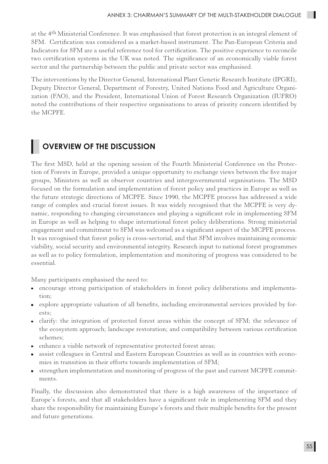at the 4<sup>th</sup> Ministerial Conference. It was emphasised that forest protection is an integral element of SFM. Certification was considered as a market-based instrument. The Pan-European Criteria and Indicators for SFM are a useful reference tool for certification. The positive experience to reconcile two certification systems in the UK was noted. The significance of an economically viable forest sector and the partnership between the public and private sector was emphasised.

The interventions by the Director General, International Plant Genetic Research Institute (IPGRI), Deputy Director General, Department of Forestry, United Nations Food and Agriculture Organization (FAO), and the President, International Union of Forest Research Organization (IUFRO) noted the contributions of their respective organisations to areas of priority concern identified by the MCPFE.

## **OVERVIEW OF THE DISCUSSION**

The first MSD, held at the opening session of the Fourth Ministerial Conference on the Protection of Forests in Europe, provided a unique opportunity to exchange views between the five major groups, Ministers as well as observer countries and intergovernmental organisations. The MSD focused on the formulation and implementation of forest policy and practices in Europe as well as the future strategic directions of MCPFE. Since 1990, the MCPFE process has addressed a wide range of complex and crucial forest issues. It was widely recognised that the MCPFE is very dynamic, responding to changing circumstances and playing a significant role in implementing SFM in Europe as well as helping to shape international forest policy deliberations. Strong ministerial engagement and commitment to SFM was welcomed as a significant aspect of the MCPFE process. It was recognised that forest policy is cross-sectorial, and that SFM involves maintaining economic viability, social security and environmental integrity. Research input to national forest programmes as well as to policy formulation, implementation and monitoring of progress was considered to be essential.

Many participants emphasised the need to:

- encourage strong participation of stakeholders in forest policy deliberations and implementation;
- explore appropriate valuation of all benefits, including environmental services provided by forests;
- clarify: the integration of protected forest areas within the concept of SFM; the relevance of the ecosystem approach; landscape restoration; and compatibility between various certification schemes;
- enhance a viable network of representative protected forest areas;
- assist colleagues in Central and Eastern European Countries as well as in countries with economies in transition in their efforts towards implementation of SFM;
- strengthen implementation and monitoring of progress of the past and current MCPFE commitments.

Finally, the discussion also demonstrated that there is a high awareness of the importance of Europe's forests, and that all stakeholders have a significant role in implementing SFM and they share the responsibility for maintaining Europe's forests and their multiple benefits for the present and future generations.